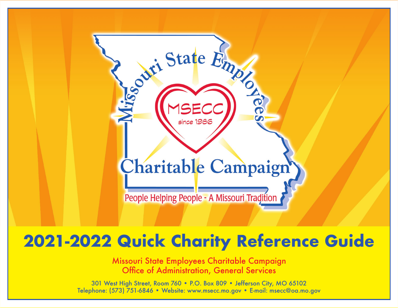

# **2021-2022 Quick Charity Reference Guide**

Missouri State Employees Charitable Campaign Office of Administration, General Services

301 West High Street, Room 760 • P.O. Box 809 • Jefferson City, MO 65102 Telephone: (573) 751-6846 • Website: www.msecc.mo.gov • E-mail: msecc@oa.mo.gov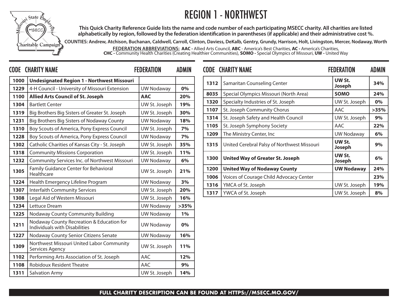## REGION 1 - NORTHWEST



**This Quick Charity Reference Guide lists the name and code number of each participating MSECC charity. All charities are listed alphabetically by region, followed by the federation identification in parentheses (if applicable) and their administrative cost %.**

**COUNTIES: Andrew, Atchison, Buchanan, Caldwell, Carroll, Clinton, Daviess, DeKalb, Gentry, Grundy, Harrison, Holt, Livingston, Mercer, Nodaway, Worth**

**FEDERATION ABBREVIATIONS: AAC -** Allied Arts Council, **ABC** - America's Best Charities, **AC -** America's Charities, **CHC -** Community Health Charities (Creating Healthier Communities), **SOMO -** Special Olympics of Missouri, **UW -** United Way

|      | <b>CODE CHARITY NAME</b>                                                   | <b>FEDERATION</b> | <b>ADMIN</b> |      | <b>CODE CHARITY NAME</b>                    | <b>FEDERATION</b> | <b>ADMIN</b> |
|------|----------------------------------------------------------------------------|-------------------|--------------|------|---------------------------------------------|-------------------|--------------|
| 1000 | <b>Undesignated Region 1 - Northwest Missouri</b>                          |                   |              | 1312 | Samaritan Counseling Center                 | UW St.<br>Joseph  | 34%          |
| 1229 | 4-H Council - University of Missouri Extension                             | <b>UW Nodaway</b> | 0%           | 8035 | Special Olympics Missouri (North Area)      | <b>SOMO</b>       | 24%          |
| 1100 | <b>Allied Arts Council of St. Joseph</b>                                   | <b>AAC</b>        | 20%          |      |                                             |                   |              |
| 1304 | <b>Bartlett Center</b>                                                     | UW St. Joseph     | 19%          | 1320 | Specialty Industries of St. Joseph          | UW St. Joseph     | 0%           |
| 1319 | Big Brothers Big Sisters of Greater St. Joseph                             | UW St. Joseph     | 30%          | 1107 | St. Joseph Community Chorus                 | AAC               | >35%         |
| 1231 | Big Brothers Big Sisters of Nodaway County                                 | <b>UW Nodaway</b> | 18%          | 1314 | St. Joseph Safety and Health Council        | UW St. Joseph     | 9%           |
| 1310 | Boy Scouts of America, Pony Express Council                                | UW St. Joseph     | 7%           | 1105 | St. Joseph Symphony Society                 | AAC               | 22%          |
| 1228 | Boy Scouts of America, Pony Express Council                                | <b>UW Nodaway</b> | 7%           | 1209 | The Ministry Center, Inc                    | <b>UW Nodaway</b> | 6%           |
| 1302 | Catholic Charities of Kansas City - St. Joseph                             | UW St. Joseph     | 35%          | 1315 | United Cerebral Palsy of Northwest Missouri | UW St.<br>Joseph  | 9%           |
| 1318 | <b>Community Missions Corporation</b>                                      | UW St. Joseph     | 11%          |      |                                             | UW St.            |              |
| 1232 | Community Services Inc. of Northwest Missouri                              | <b>UW Nodaway</b> | 6%           | 1300 | <b>United Way of Greater St. Joseph</b>     | Joseph            | 6%           |
| 1305 | Family Guidance Center for Behavioral<br>Healthcare                        | UW St. Joseph     | 21%          | 1200 | <b>United Way of Nodaway County</b>         | <b>UW Nodaway</b> | 24%          |
| 1224 | Health Emergency Lifeline Program                                          | <b>UW Nodaway</b> | 3%           | 1006 | Voices of Courage Child Advocacy Center     |                   | 23%          |
| 1307 | <b>Interfaith Community Services</b>                                       | UW St. Joseph     | 20%          | 1316 | YMCA of St. Joseph                          | UW St. Joseph     | 19%          |
|      |                                                                            |                   |              | 1317 | YWCA of St. Joseph                          | UW St. Joseph     | 8%           |
| 1308 | Legal Aid of Western Missouri                                              | UW St. Joseph     | 16%          |      |                                             |                   |              |
| 1234 | Lettuce Dream                                                              | <b>UW Nodaway</b> | >35%         |      |                                             |                   |              |
| 1225 | Nodaway County Community Building                                          | <b>UW Nodaway</b> | 1%           |      |                                             |                   |              |
| 1211 | Nodaway County Recreation & Education for<br>Individuals with Disabilities | <b>UW Nodaway</b> | 0%           |      |                                             |                   |              |
| 1227 | Nodaway County Senior Citizens Senate                                      | <b>UW Nodaway</b> | 16%          |      |                                             |                   |              |
| 1309 | Northwest Missouri United Labor Community<br>Services Agency               | UW St. Joseph     | 11%          |      |                                             |                   |              |
| 1102 | Performing Arts Association of St. Joseph                                  | AAC               | 12%          |      |                                             |                   |              |
| 1108 | <b>Robidoux Resident Theatre</b>                                           | AAC               | 9%           |      |                                             |                   |              |
| 1311 | <b>Salvation Army</b>                                                      | UW St. Joseph     | 14%          |      |                                             |                   |              |
|      |                                                                            |                   |              |      |                                             |                   |              |

|      | <b>CODE CHARITY NAME</b>                    | <b>FEDERATION</b> | ADMIN |
|------|---------------------------------------------|-------------------|-------|
| 1312 | Samaritan Counseling Center                 | UW St.<br>Joseph  | 34%   |
| 8035 | Special Olympics Missouri (North Area)      | <b>SOMO</b>       | 24%   |
| 1320 | Specialty Industries of St. Joseph          | UW St. Joseph     | $0\%$ |
| 1107 | St. Joseph Community Chorus                 | AAC               | >35%  |
| 1314 | St. Joseph Safety and Health Council        | UW St. Joseph     | 9%    |
| 1105 | St. Joseph Symphony Society                 | AAC               | 22%   |
| 1209 | The Ministry Center, Inc                    | <b>UW Nodaway</b> | 6%    |
| 1315 | United Cerebral Palsy of Northwest Missouri | UW St.<br>Joseph  | 9%    |
| 1300 | <b>United Way of Greater St. Joseph</b>     | UW St.<br>Joseph  | 6%    |
| 1200 | <b>United Way of Nodaway County</b>         | <b>UW Nodaway</b> | 24%   |
| 1006 | Voices of Courage Child Advocacy Center     |                   | 23%   |
| 1316 | YMCA of St. Joseph                          | UW St. Joseph     | 19%   |
| 1317 | YWCA of St. Joseph                          | UW St. Joseph     | 8%    |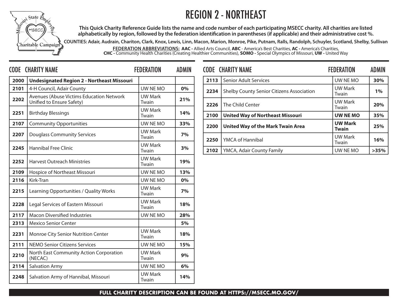### REGION 2 - NORTHEAST



**This Quick Charity Reference Guide lists the name and code number of each participating MSECC charity. All charities are listed alphabetically by region, followed by the federation identification in parentheses (if applicable) and their administrative cost %.**

**COUNTIES: Adair, Audrain, Chariton, Clark, Knox, Lewis, Linn, Macon, Marion, Monroe, Pike, Putnam, Ralls, Randolph, Schuyler, Scotland, Shelby, Sullivan**

**FEDERATION ABBREVIATIONS: AAC -** Allied Arts Council, **ABC** - America's Best Charities, **AC -** America's Charities, **CHC -** Community Health Charities (Creating Healthier Communities), **SOMO -** Special Olympics of Missouri, **UW -** United Way

|      | <b>CODE CHARITY NAME</b>                                              | <b>FEDERATION</b>       | <b>ADMIN</b> |      | <b>CODE CHARITY NAME</b>                  | <b>FEDERATION</b>              | <b>ADMIN</b> |
|------|-----------------------------------------------------------------------|-------------------------|--------------|------|-------------------------------------------|--------------------------------|--------------|
| 2000 | <b>Undesignated Region 2 - Northeast Missouri</b>                     |                         |              | 2113 | Senior Adult Services                     | UW NE MO                       | 30%          |
| 2101 | 4-H Council, Adair County                                             | UW NE MO                | 0%           | 2234 | Shelby County Senior Citizens Association | <b>UW Mark</b>                 | 1%           |
| 2202 | Avenues (Abuse Victims Education Network<br>Unified to Ensure Safety) | <b>UW Mark</b><br>Twain | 21%          | 2226 | The Child Center                          | Twain<br>UW Mark               | 20%          |
| 2251 | <b>Birthday Blessings</b>                                             | <b>UW Mark</b><br>Twain | 14%          | 2100 | <b>United Way of Northeast Missouri</b>   | Twain<br><b>UW NE MO</b>       | 35%          |
| 2107 | <b>Community Opportunities</b>                                        | UW NE MO                | 33%          | 2200 | <b>United Way of the Mark Twain Area</b>  | <b>UW Mark</b>                 | 25%          |
| 2207 | <b>Douglass Community Services</b>                                    | <b>UW Mark</b><br>Twain | 7%           | 2250 | YMCA of Hannibal                          | <b>Twain</b><br><b>UW Mark</b> | 16%          |
| 2245 | <b>Hannibal Free Clinic</b>                                           | <b>UW Mark</b><br>Twain | 3%           | 2102 | YMCA, Adair County Family                 | Twain<br>UW NE MO              | >35%         |
| 2252 | <b>Harvest Outreach Ministries</b>                                    | <b>UW Mark</b><br>Twain | 19%          |      |                                           |                                |              |
| 2109 | Hospice of Northeast Missouri                                         | UW NE MO                | 13%          |      |                                           |                                |              |
| 2116 | Kirk-Tran                                                             | UW NE MO                | 0%           |      |                                           |                                |              |
| 2215 | Learning Opportunities / Quality Works                                | <b>UW Mark</b><br>Twain | 7%           |      |                                           |                                |              |
| 2228 | Legal Services of Eastern Missouri                                    | <b>UW Mark</b><br>Twain | 18%          |      |                                           |                                |              |
| 2117 | <b>Macon Diversified Industries</b>                                   | UW NE MO                | 28%          |      |                                           |                                |              |
| 2313 | <b>Mexico Senior Center</b>                                           |                         | 5%           |      |                                           |                                |              |
| 2231 | Monroe City Senior Nutrition Center                                   | <b>UW Mark</b><br>Twain | 18%          |      |                                           |                                |              |
| 2111 | NEMO Senior Citizens Services                                         | UW NE MO                | 15%          |      |                                           |                                |              |
| 2210 | North East Community Action Corporation<br>(NECAC)                    | <b>UW Mark</b><br>Twain | 9%           |      |                                           |                                |              |
| 2114 | <b>Salvation Army</b>                                                 | UW NE MO                | 6%           |      |                                           |                                |              |
| 2248 | Salvation Army of Hannibal, Missouri                                  | <b>UW Mark</b><br>Twain | 14%          |      |                                           |                                |              |

|      | <b>CODE CHARITY NAME</b>                         | <b>FEDERATION</b>              | <b>ADMIN</b> |
|------|--------------------------------------------------|--------------------------------|--------------|
| 2113 | <b>Senior Adult Services</b>                     | UW NE MO                       | 30%          |
| 2234 | <b>Shelby County Senior Citizens Association</b> | <b>UW Mark</b><br>Twain        | 1%           |
| 2226 | The Child Center                                 | <b>UW Mark</b><br>Twain        | 20%          |
| 2100 | <b>United Way of Northeast Missouri</b>          | <b>UW NE MO</b>                | 35%          |
| 2200 | <b>United Way of the Mark Twain Area</b>         | <b>UW Mark</b><br><b>Twain</b> | 25%          |
| 2250 | <b>YMCA of Hannibal</b>                          | <b>UW Mark</b><br>Twain        | 16%          |
| 2102 | YMCA, Adair County Family                        | UW NE MO                       | >35%         |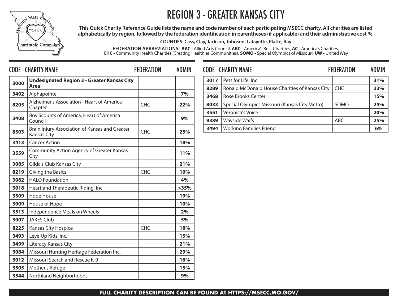## REGION 3 - GREATER KANSAS CITY



**This Quick Charity Reference Guide lists the name and code number of each participating MSECC charity. All charities are listed alphabetically by region, followed by the federation identification in parentheses (if applicable) and their administrative cost %.**

**COUNTIES: Cass, Clay, Jackson, Johnson, Lafayette, Platte, Ray**

**FEDERATION ABBREVIATIONS: AAC -** Allied Arts Council, **ABC** - America's Best Charities, **AC -** America's Charities, **CHC -** Community Health Charities (Creating Healthier Communities), **SOMO -** Special Olympics of Missouri, **UW -** United Way

|      | <b>CODE CHARITY NAME</b>                                             | <b>FEDERATION</b> | <b>ADMIN</b> |              | <b>CODE CHARITY NAME</b>                       | <b>FEDERATION</b> | <b>ADMIN</b> |
|------|----------------------------------------------------------------------|-------------------|--------------|--------------|------------------------------------------------|-------------------|--------------|
| 3000 | <b>Undesignated Region 3 - Greater Kansas City</b>                   |                   |              | 3017         | Pets for Life, Inc.                            |                   | 31%          |
|      | Area                                                                 |                   |              | 8289         | Ronald McDonald House Charities of Kansas City | <b>CHC</b>        | 23%          |
| 3402 | Alphapointe                                                          |                   | 7%           | 3468         | <b>Rose Brooks Center</b>                      |                   | 15%          |
| 8205 | Alzheimer's Association - Heart of America<br>Chapter                | <b>CHC</b>        | 22%          | 8033         | Special Olympics Missouri (Kansas City Metro)  | SOMO              | 24%          |
| 3408 | Boy Scounts of America, Heart of America<br>Council                  |                   | 9%           | 3551<br>9389 | Veronica's Voice<br><b>Wayside Waifs</b>       | ABC               | 20%<br>25%   |
| 8303 | Brain Injury Association of Kansas and Greater<br><b>Kansas City</b> | <b>CHC</b>        | 25%          | 3494         | <b>Working Families Friend</b>                 |                   | 6%           |
| 3413 | <b>Cancer Action</b>                                                 |                   | 18%          |              |                                                |                   |              |
| 3559 | <b>Community Action Agency of Greater Kansas</b><br>City             |                   | 11%          |              |                                                |                   |              |
| 3085 | Gilda's Club Kansas City                                             |                   | 21%          |              |                                                |                   |              |
| 8219 | Giving the Basics                                                    | <b>CHC</b>        | 10%          |              |                                                |                   |              |
| 3082 | <b>HALO Foundation</b>                                               |                   | 4%           |              |                                                |                   |              |
| 3018 | Heartland Therapeutic Riding, Inc.                                   |                   | >35%         |              |                                                |                   |              |
| 3509 | Hope House                                                           |                   | 19%          |              |                                                |                   |              |
| 3009 | House of Hope                                                        |                   | 10%          |              |                                                |                   |              |
| 3513 | Independence Meals on Wheels                                         |                   | 2%           |              |                                                |                   |              |
| 3007 | <b>JAKES Club</b>                                                    |                   | 5%           |              |                                                |                   |              |
| 8225 | <b>Kansas City Hospice</b>                                           | <b>CHC</b>        | 18%          |              |                                                |                   |              |
| 3493 | LevelUp Kids, Inc.                                                   |                   | 15%          |              |                                                |                   |              |
| 3499 | Literacy Kansas City                                                 |                   | 21%          |              |                                                |                   |              |
| 3084 | Missouri Hunting Heritage Federation Inc.                            |                   | 29%          |              |                                                |                   |              |
| 3012 | Missouri Search and Rescue K-9                                       |                   | 16%          |              |                                                |                   |              |
| 3505 | Mother's Refuge                                                      |                   | 15%          |              |                                                |                   |              |
| 3544 | Northland Neighborhoods                                              |                   | 9%           |              |                                                |                   |              |

|      | <b>CODE CHARITY NAME</b>                       | <b>FEDERATION</b> | <b>ADMIN</b> |
|------|------------------------------------------------|-------------------|--------------|
| 3017 | Pets for Life, Inc.                            |                   | 31%          |
| 8289 | Ronald McDonald House Charities of Kansas City | <b>CHC</b>        | 23%          |
| 3468 | <b>Rose Brooks Center</b>                      |                   | 15%          |
| 8033 | Special Olympics Missouri (Kansas City Metro)  | SOMO              | 24%          |
| 3551 | Veronica's Voice                               |                   | 20%          |
| 9389 | <b>Wayside Waifs</b>                           | ABC               | 25%          |
| 3494 | <b>Working Families Friend</b>                 |                   | 6%           |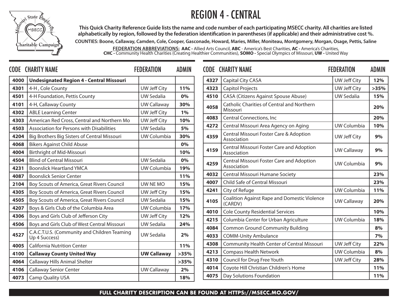### REGION 4 - CENTRAL



**This Quick Charity Reference Guide lists the name and code number of each participating MSECC charity. All charities are listed alphabetically by region, followed by the federation identification in parentheses (if applicable) and their administrative cost %.**

**COUNTIES: Boone, Callaway, Camden, Cole, Cooper, Gasconade, Howard, Maries, Miller, Moniteau, Montgomery, Morgan, Osage, Pettis, Saline FEDERATION ABBREVIATIONS: AAC -** Allied Arts Council, **ABC** - America's Best Charities, **AC -** America's Charities,

**CHC -** Community Health Charities (Creating Healthier Communities), **SOMO -** Special Olympics of Missouri, **UW -** United Way

|                                                 | <b>FEDERATION</b>                                                                                                                                                                      | <b>ADMIN</b>                                                                       |              |                                                                                                                                                                              | <b>FEDERATION</b>                                                                                                                                                                                                                                                                                                                                                                                                                                                        | <b>ADMIN</b>                                                                                                                                 |
|-------------------------------------------------|----------------------------------------------------------------------------------------------------------------------------------------------------------------------------------------|------------------------------------------------------------------------------------|--------------|------------------------------------------------------------------------------------------------------------------------------------------------------------------------------|--------------------------------------------------------------------------------------------------------------------------------------------------------------------------------------------------------------------------------------------------------------------------------------------------------------------------------------------------------------------------------------------------------------------------------------------------------------------------|----------------------------------------------------------------------------------------------------------------------------------------------|
| <b>Undesignated Region 4 - Central Missouri</b> |                                                                                                                                                                                        |                                                                                    |              | <b>Capital City CASA</b>                                                                                                                                                     | <b>UW Jeff City</b>                                                                                                                                                                                                                                                                                                                                                                                                                                                      | 12%                                                                                                                                          |
| 4-H, Cole County                                | <b>UW Jeff City</b>                                                                                                                                                                    | 11%                                                                                |              | <b>Capitol Projects</b>                                                                                                                                                      | <b>UW Jeff City</b>                                                                                                                                                                                                                                                                                                                                                                                                                                                      | >35%                                                                                                                                         |
| 4-H Foundation, Pettis County                   | <b>UW Sedalia</b>                                                                                                                                                                      | 0%                                                                                 |              | CASA (Citizens Against Spouse Abuse)                                                                                                                                         | <b>UW Sedalia</b>                                                                                                                                                                                                                                                                                                                                                                                                                                                        | 15%                                                                                                                                          |
| 4-H, Callaway County                            | <b>UW Callaway</b>                                                                                                                                                                     | 30%                                                                                |              | Catholic Charities of Central and Northern                                                                                                                                   |                                                                                                                                                                                                                                                                                                                                                                                                                                                                          | 20%                                                                                                                                          |
| <b>ABLE Learning Center</b>                     | <b>UW Jeff City</b>                                                                                                                                                                    | 1%                                                                                 |              |                                                                                                                                                                              |                                                                                                                                                                                                                                                                                                                                                                                                                                                                          |                                                                                                                                              |
| American Red Cross, Central and Northern Mo     | <b>UW Jeff City</b>                                                                                                                                                                    | 10%                                                                                |              |                                                                                                                                                                              |                                                                                                                                                                                                                                                                                                                                                                                                                                                                          | 20%                                                                                                                                          |
| Association for Persons with Disabilities       | <b>UW Sedalia</b>                                                                                                                                                                      | 5%                                                                                 |              |                                                                                                                                                                              |                                                                                                                                                                                                                                                                                                                                                                                                                                                                          | 10%                                                                                                                                          |
| Big Brothers Big Sisters of Central Missouri    | UW Columbia                                                                                                                                                                            | 30%                                                                                |              |                                                                                                                                                                              | UW Jeff City                                                                                                                                                                                                                                                                                                                                                                                                                                                             | 9%                                                                                                                                           |
| <b>Bikers Against Child Abuse</b>               |                                                                                                                                                                                        | 0%                                                                                 |              |                                                                                                                                                                              |                                                                                                                                                                                                                                                                                                                                                                                                                                                                          |                                                                                                                                              |
| <b>Birthright of Mid-Missouri</b>               |                                                                                                                                                                                        | 10%                                                                                |              | Association                                                                                                                                                                  |                                                                                                                                                                                                                                                                                                                                                                                                                                                                          | 9%                                                                                                                                           |
| <b>Blind of Central Missouri</b>                | <b>UW Sedalia</b>                                                                                                                                                                      | 0%                                                                                 |              | Central Missouri Foster Care and Adoption                                                                                                                                    |                                                                                                                                                                                                                                                                                                                                                                                                                                                                          | 9%                                                                                                                                           |
| <b>Boonslick Heartland YMCA</b>                 | UW Columbia                                                                                                                                                                            | 19%                                                                                |              |                                                                                                                                                                              |                                                                                                                                                                                                                                                                                                                                                                                                                                                                          |                                                                                                                                              |
| <b>Boonslick Senior Center</b>                  |                                                                                                                                                                                        | 11%                                                                                |              |                                                                                                                                                                              |                                                                                                                                                                                                                                                                                                                                                                                                                                                                          | 23%                                                                                                                                          |
| Boy Scouts of America, Great Rivers Council     | UW NE MO                                                                                                                                                                               | 15%                                                                                |              |                                                                                                                                                                              |                                                                                                                                                                                                                                                                                                                                                                                                                                                                          | 23%                                                                                                                                          |
| Boy Scouts of America, Great Rivers Council     | <b>UW Jeff City</b>                                                                                                                                                                    | 15%                                                                                |              |                                                                                                                                                                              |                                                                                                                                                                                                                                                                                                                                                                                                                                                                          | 11%                                                                                                                                          |
| Boy Scouts of America, Great Rivers Council     | <b>UW Sedalia</b>                                                                                                                                                                      | 15%                                                                                |              |                                                                                                                                                                              | <b>UW Callaway</b>                                                                                                                                                                                                                                                                                                                                                                                                                                                       | 20%                                                                                                                                          |
| Boys & Girls Club of the Columbia Area          | UW Columbia                                                                                                                                                                            | 17%                                                                                |              |                                                                                                                                                                              |                                                                                                                                                                                                                                                                                                                                                                                                                                                                          | 10%                                                                                                                                          |
| Boys and Girls Club of Jefferson City           |                                                                                                                                                                                        | 12%                                                                                |              |                                                                                                                                                                              |                                                                                                                                                                                                                                                                                                                                                                                                                                                                          | 18%                                                                                                                                          |
| Boys and Girls Club of West Central Missouri    | <b>UW Sedalia</b>                                                                                                                                                                      | 24%                                                                                |              |                                                                                                                                                                              |                                                                                                                                                                                                                                                                                                                                                                                                                                                                          | 8%                                                                                                                                           |
|                                                 | <b>UW Sedalia</b>                                                                                                                                                                      | 2%                                                                                 |              | <b>COMM-Unity Ambulance</b>                                                                                                                                                  |                                                                                                                                                                                                                                                                                                                                                                                                                                                                          | 7%                                                                                                                                           |
|                                                 |                                                                                                                                                                                        | 11%                                                                                |              | Community Health Center of Central Missouri                                                                                                                                  | UW Jeff City                                                                                                                                                                                                                                                                                                                                                                                                                                                             | 22%                                                                                                                                          |
|                                                 |                                                                                                                                                                                        |                                                                                    |              | <b>Compass Health Network</b>                                                                                                                                                | UW Columbia                                                                                                                                                                                                                                                                                                                                                                                                                                                              | 8%                                                                                                                                           |
|                                                 |                                                                                                                                                                                        |                                                                                    |              | Council for Drug Free Youth                                                                                                                                                  | UW Jeff City                                                                                                                                                                                                                                                                                                                                                                                                                                                             | 28%                                                                                                                                          |
|                                                 | <b>UW Callaway</b>                                                                                                                                                                     | 2%                                                                                 |              | Coyote Hill Christian Children's Home                                                                                                                                        |                                                                                                                                                                                                                                                                                                                                                                                                                                                                          | 11%                                                                                                                                          |
| <b>Camp Quality USA</b>                         |                                                                                                                                                                                        | 18%                                                                                |              | Day Solutions Foundation                                                                                                                                                     |                                                                                                                                                                                                                                                                                                                                                                                                                                                                          | 11%                                                                                                                                          |
|                                                 | <b>CODE CHARITY NAME</b><br>Up 4 Success)<br><b>California Nutrition Center</b><br><b>Callaway County United Way</b><br>Callaway Hills Animal Shelter<br><b>Callaway Senior Center</b> | UW Jeff City<br>C.A.C.T.U.S. (Community and Children Teaming<br><b>UW Callaway</b> | >35%<br>>35% | 4327<br>4323<br>4510<br>4058<br>4083<br>4272<br>4359<br>4159<br>4259<br>4032<br>4007<br>4241<br>4105<br>4010<br>4215<br>4084<br>4033<br>4308<br>4213<br>4310<br>4014<br>4075 | <b>CODE CHARITY NAME</b><br>Missouri<br><b>Central Connections, Inc.</b><br>Central Missouri Area Agency on Aging<br>Central Missouri Foster Care & Adoption<br>Association<br>Central Missouri Foster Care and Adoption<br>Association<br>Central Missouri Humane Society<br>Child Safe of Central Missouri<br>City of Refuge<br>(CARDV)<br><b>Cole County Residential Services</b><br>Columbia Center for Urban Agriculture<br><b>Common Ground Community Building</b> | UW Columbia<br><b>UW Callaway</b><br>UW Columbia<br><b>UW Columbia</b><br><b>Coalition Against Rape and Domestic Violence</b><br>UW Columbia |

|      | <b>CODE CHARITY NAME</b>                                        | <b>FEDERATION</b>   | <b>ADMIN</b> |
|------|-----------------------------------------------------------------|---------------------|--------------|
| 4327 | <b>Capital City CASA</b>                                        | UW Jeff City        | 12%          |
| 4323 | <b>Capitol Projects</b>                                         | <b>UW Jeff City</b> | >35%         |
| 4510 | <b>CASA (Citizens Against Spouse Abuse)</b>                     | <b>UW Sedalia</b>   | 15%          |
| 4058 | <b>Catholic Charities of Central and Northern</b><br>Missouri   |                     | 20%          |
| 4083 | Central Connections, Inc                                        |                     | 20%          |
| 4272 | Central Missouri Area Agency on Aging                           | UW Columbia         | 10%          |
| 4359 | Central Missouri Foster Care & Adoption<br>Association          | UW Jeff City        | 9%           |
| 4159 | <b>Central Missouri Foster Care and Adoption</b><br>Association | <b>UW Callaway</b>  | 9%           |
| 4259 | Central Missouri Foster Care and Adoption<br>Association        | <b>UW Columbia</b>  | 9%           |
| 4032 | Central Missouri Humane Society                                 |                     | 23%          |
| 4007 | Child Safe of Central Missouri                                  |                     | 23%          |
| 4241 | City of Refuge                                                  | UW Columbia         | 11%          |
| 4105 | <b>Coalition Against Rape and Domestic Violence</b><br>(CARDV)  | <b>UW Callaway</b>  | 20%          |
| 4010 | <b>Cole County Residential Services</b>                         |                     | 10%          |
| 4215 | Columbia Center for Urban Agriculture                           | UW Columbia         | 18%          |
| 4084 | <b>Common Ground Community Building</b>                         |                     | 8%           |
| 4033 | <b>COMM-Unity Ambulance</b>                                     |                     | 7%           |
| 4308 | Community Health Center of Central Missouri                     | <b>UW Jeff City</b> | 22%          |
| 4213 | <b>Compass Health Network</b>                                   | UW Columbia         | 8%           |
| 4310 | Council for Drug Free Youth                                     | UW Jeff City        | 28%          |
| 4014 | Coyote Hill Christian Children's Home                           |                     | 11%          |
| 4075 | Day Solutions Foundation                                        |                     | 11%          |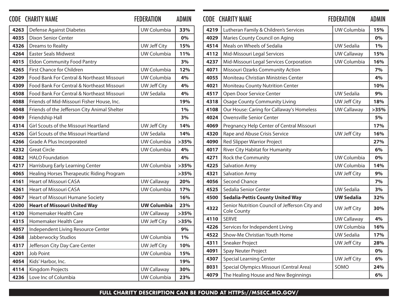|      | <b>CODE CHARITY NAME</b>                     | <b>FEDERATION</b>   | <b>ADMIN</b> |      | <b>CODE CHARITY NAME</b>                       | <b>FEDERATION</b>   | <b>ADMIN</b> |
|------|----------------------------------------------|---------------------|--------------|------|------------------------------------------------|---------------------|--------------|
| 4263 | Defense Against Diabetes                     | UW Columbia         | 33%          | 4219 | Lutheran Family & Children's Services          | UW Columbia         | 15%          |
| 4035 | <b>Dixon Senior Center</b>                   |                     | 0%           | 4029 | Maries County Council on Aging                 |                     | 0%           |
| 4326 | <b>Dreams to Reality</b>                     | <b>UW Jeff City</b> | 15%          | 4514 | Meals on Wheels of Sedalia                     | <b>UW Sedalia</b>   | 1%           |
| 4264 | <b>Easter Seals Midwest</b>                  | UW Columbia         | 11%          | 4112 | Mid-Missouri Legal Services                    | <b>UW Callaway</b>  | 15%          |
| 4015 | <b>Eldon Community Food Pantry</b>           |                     | 3%           | 4237 | Mid-Missouri Legal Services Corporation        | UW Columbia         | 16%          |
| 4265 | First Chance for Children                    | UW Columbia         | 12%          | 4071 | Missouri Ozarks Community Action               |                     | 7%           |
| 4209 | Food Bank For Central & Northeast Missouri   | UW Columbia         | 4%           | 4055 | <b>Moniteau Christian Ministries Center</b>    |                     | 4%           |
| 4309 | Food Bank For Central & Northeast Missouri   | <b>UW Jeff City</b> | 4%           | 4021 | <b>Moniteau County Nutrition Center</b>        |                     | 10%          |
| 4508 | Food Bank For Central & Northeast Missouri   | <b>UW Sedalia</b>   | 4%           | 4517 | Open Door Service Center                       | <b>UW Sedalia</b>   | 9%           |
| 4088 | Friends of Mid-Missouri Fisher House, Inc.   |                     | 19%          | 4318 | <b>Osage County Community Living</b>           | <b>UW Jeff City</b> | 18%          |
| 4048 | Friends of the Jefferson City Animal Shelter |                     | 1%           | 4108 | Our House: Caring for Callaway's Homeless      | <b>UW Callaway</b>  | >35%         |
| 4049 | Friendship Hall                              |                     | 3%           | 4024 | Owensville Senior Center                       |                     | 5%           |
| 4314 | Girl Scouts of the Missouri Heartland        | <b>UW Jeff City</b> | 14%          | 4069 | Pregnancy Help Center of Central Missouri      |                     | 17%          |
| 4526 | Girl Scouts of the Missouri Heartland        | <b>UW Sedalia</b>   | 14%          | 4320 | Rape and Abuse Crisis Service                  | <b>UW Jeff City</b> | 16%          |
| 4266 | Grade A Plus Incorporated                    | UW Columbia         | >35%         | 4090 | <b>Red Slipper Warrior Project</b>             |                     | 27%          |
| 4232 | <b>Great Circle</b>                          | UW Columbia         | 4%           | 4017 | River City Habitat for Humanity                |                     | 6%           |
| 4082 | <b>HALO</b> Foundation                       |                     | 4%           | 4271 | Rock the Community                             | UW Columbia         | 0%           |
| 4217 | Harrisburg Early Learning Center             | UW Columbia         | >35%         | 4225 | <b>Salvation Army</b>                          | UW Columbia         | 14%          |
| 4065 | Healing Horses Therapeutic Riding Program    |                     | >35%         | 4321 | <b>Salvation Army</b>                          | UW Jeff City        | 9%           |
| 4161 | <b>Heart of Missouri CASA</b>                | <b>UW Callaway</b>  | 20%          | 4056 | <b>Second Chance</b>                           |                     | 7%           |
| 4261 | <b>Heart of Missouri CASA</b>                | UW Columbia         | 17%          | 4525 | Sedalia Senior Center                          | <b>UW Sedalia</b>   | 3%           |
| 4067 | Heart of Missouri Humane Society             |                     | 16%          | 4500 | <b>Sedalia-Pettis County United Way</b>        | <b>UW Sedalia</b>   | 32%          |
| 4200 | <b>Heart of Missouri United Way</b>          | <b>UW Columbia</b>  | 23%          | 4322 | Senior Nutrition Council of Jefferson City and | <b>UW Jeff City</b> | 30%          |
| 4120 | Homemaker Health Care                        | <b>UW Callaway</b>  | >35%         |      | <b>Cole County</b>                             |                     |              |
| 4315 | Homemaker Health Care                        | <b>UW Jeff City</b> | >35%         | 4110 | <b>SERVE</b>                                   | <b>UW Callaway</b>  | 4%           |
| 4057 | Independent Living Resource Center           |                     | 9%           | 4226 | Services for Independent Living                | UW Columbia         | 16%          |
| 4268 | Jabberwocky Studios                          | UW Columbia         | $1\%$        | 4522 | Show-Me Christian Youth Home                   | <b>UW Sedalia</b>   | 17%          |
| 4317 | Jefferson City Day Care Center               | <b>UW Jeff City</b> | 10%          | 4311 | Sneaker Project                                | <b>UW Jeff City</b> | 28%          |
| 4201 | Job Point                                    | UW Columbia         | 15%          | 4091 | Spay Neuter Project                            |                     | 0%           |
| 4054 | Kids' Harbor, Inc.                           |                     | 19%          | 4307 | <b>Special Learning Center</b>                 | <b>UW Jeff City</b> | 6%           |
| 4114 | Kingdom Projects                             | <b>UW Callaway</b>  | 30%          | 8031 | Special Olympics Missouri (Central Area)       | SOMO                | 24%          |
| 4236 | Love Inc of Columbia                         | UW Columbia         | 23%          | 4079 | The Healing House and New Beginnings           |                     | 6%           |

|      | CODE CHARITY NAME                                             | <b>FEDERATION</b>   | <b>ADMIN</b> |
|------|---------------------------------------------------------------|---------------------|--------------|
| 4219 | Lutheran Family & Children's Services                         | UW Columbia         | 15%          |
| 4029 | Maries County Council on Aging                                |                     | 0%           |
| 4514 | Meals on Wheels of Sedalia                                    | <b>UW Sedalia</b>   | 1%           |
| 4112 | Mid-Missouri Legal Services                                   | <b>UW Callaway</b>  | 15%          |
| 4237 | Mid-Missouri Legal Services Corporation                       | UW Columbia         | 16%          |
| 4071 | Missouri Ozarks Community Action                              |                     | 7%           |
| 4055 | Moniteau Christian Ministries Center                          |                     | 4%           |
| 4021 | Moniteau County Nutrition Center                              |                     | 10%          |
| 4517 | Open Door Service Center                                      | <b>UW Sedalia</b>   | 9%           |
| 4318 | <b>Osage County Community Living</b>                          | UW Jeff City        | 18%          |
| 4108 | Our House: Caring for Callaway's Homeless                     | <b>UW Callaway</b>  | >35%         |
| 4024 | <b>Owensville Senior Center</b>                               |                     | 5%           |
| 4069 | Pregnancy Help Center of Central Missouri                     |                     | 17%          |
| 4320 | Rape and Abuse Crisis Service                                 | <b>UW Jeff City</b> | 16%          |
| 4090 | <b>Red Slipper Warrior Project</b>                            |                     | 27%          |
| 4017 | River City Habitat for Humanity                               |                     | 6%           |
| 4271 | Rock the Community                                            | <b>UW Columbia</b>  | 0%           |
| 4225 | <b>Salvation Army</b>                                         | UW Columbia         | 14%          |
| 4321 | <b>Salvation Army</b>                                         | UW Jeff City        | 9%           |
| 4056 | <b>Second Chance</b>                                          |                     | 7%           |
| 4525 | Sedalia Senior Center                                         | <b>UW Sedalia</b>   | 3%           |
| 4500 | <b>Sedalia-Pettis County United Way</b>                       | <b>UW Sedalia</b>   | 32%          |
| 4322 | Senior Nutrition Council of Jefferson City and<br>Cole County | UW Jeff City        | 30%          |
| 4110 | <b>SERVE</b>                                                  | <b>UW Callaway</b>  | 4%           |
| 4226 | Services for Independent Living                               | UW Columbia         | 16%          |
| 4522 | Show-Me Christian Youth Home                                  | <b>UW Sedalia</b>   | 17%          |
| 4311 | Sneaker Project                                               | <b>UW Jeff City</b> | 28%          |
| 4091 | Spay Neuter Project                                           |                     | 0%           |
| 4307 | <b>Special Learning Center</b>                                | UW Jeff City        | 6%           |
| 8031 | Special Olympics Missouri (Central Area)                      | SOMO                | 24%          |
| 4079 | The Healing House and New Beginnings                          |                     | 6%           |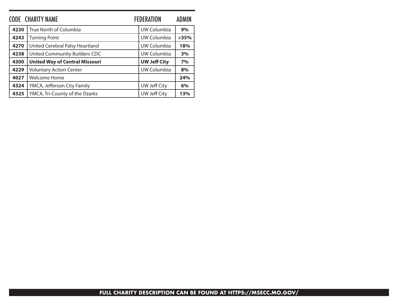|      | <b>CODE CHARITY NAME</b>              | <b>FEDERATION</b>   | ADMIN |
|------|---------------------------------------|---------------------|-------|
| 4230 | True North of Columbia                | UW Columbia         | 9%    |
| 4243 | <b>Turning Point</b>                  | UW Columbia         | >35%  |
| 4270 | United Cerebral Palsy Heartland       | UW Columbia         | 18%   |
| 4238 | United Community Builders CDC         | UW Columbia         | 3%    |
| 4300 | <b>United Way of Central Missouri</b> | <b>UW Jeff City</b> | 7%    |
| 4229 | <b>Voluntary Action Center</b>        | UW Columbia         | 8%    |
| 4027 | Welcome Home                          |                     | 24%   |
| 4324 | YMCA, Jefferson City Family           | <b>UW Jeff City</b> | 6%    |
| 4325 | YMCA, Tri-County of the Ozarks        | <b>UW Jeff City</b> | 13%   |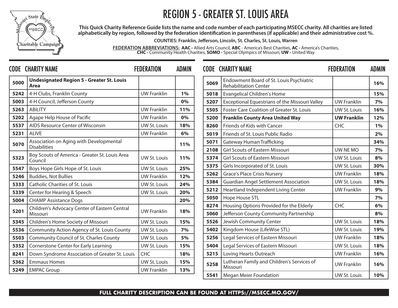

## REGION 5 - GREATER ST. LOUIS AREA

**This Quick Charity Reference Guide lists the name and code number of each participating MSECC charity. All charities are listed alphabetically by region, followed by the federation identification in parentheses (if applicable) and their administrative cost %.**

**COUNTIES: Franklin, Jefferson, Lincoln, St. Charles, St. Louis, Warren**

**FEDERATION ABBREVIATIONS: AAC -** Allied Arts Council, **ABC** - America's Best Charities, **AC -** America's Charities, **CHC -** Community Health Charities, **SOMO -** Special Olympics of Missouri, **UW -** United Way

|      | <b>CODE CHARITY NAME</b>                                  | <b>FEDERATION</b>   | <b>ADMIN</b> |      | <b>CODE CHARITY NAME</b>                                                 | <b>FEDERATION</b>                    | <b>ADMIN</b> |
|------|-----------------------------------------------------------|---------------------|--------------|------|--------------------------------------------------------------------------|--------------------------------------|--------------|
| 5000 | <b>Undesignated Region 5 - Greater St. Louis</b><br>Area  |                     |              | 5069 | Endowment Board of St. Louis Psychiatric<br><b>Rehabilitation Center</b> |                                      | 16%          |
| 5242 | 4-H Clubs, Franklin County                                | <b>UW Franklin</b>  | 1%           | 5018 | <b>Evangelical Children's Home</b>                                       |                                      | 15%          |
| 5003 | 4-H Council, Jefferson County                             |                     | 0%           | 5207 | Exceptional Equestrians of the Missouri Valley                           | <b>UW Franklin</b>                   | 7%           |
| 5263 | ABILITY                                                   | <b>UW Franklin</b>  | 11%          | 5505 | Foster Care Coalition of Greater St. Louis                               | UW St. Louis                         | 16%          |
| 5202 | Agape Help House of Pacific                               | <b>UW Franklin</b>  | 0%           | 5200 | <b>Franklin County Area United Way</b>                                   | <b>UW Franklin</b>                   | 12%          |
| 5537 | AIDS Resource Center of Wisconsin                         | <b>UW St. Louis</b> | 18%          | 8260 | Friends of Kids with Cancer                                              | <b>CHC</b>                           | 1%           |
| 5231 | <b>ALIVE</b>                                              | <b>UW Franklin</b>  | 6%           | 5019 | Friends of St. Louis Public Radio                                        |                                      | 2%           |
| 5070 | Association on Aging with Developmental                   |                     | <b>11%</b>   | 5071 | Gateway Human Trafficking                                                |                                      | 34%          |
|      | <b>Disabilities</b>                                       |                     |              | 2108 | <b>Girl Scouts of Eastern Missouri</b>                                   | UW NE MO                             | 7%           |
| 5323 | Boy Scouts of America - Greater St. Louis Area<br>Council | UW St. Louis        | 11%          | 5374 | <b>Girl Scouts of Eastern Missouri</b>                                   | UW St. Louis                         | 8%           |
| 5547 | Boys Hope Girls Hope of St. Louis                         | UW St. Louis        | 25%          | 5375 | Girls Incorporated of St. Louis                                          | UW St. Louis                         | 30%          |
| 5246 | <b>Buddies, Not Bullies</b>                               | <b>UW Franklin</b>  | 12%          | 5262 | <b>Grace's Place Crisis Nursery</b>                                      | <b>UW Franklin</b>                   | 18%          |
| 5333 | <b>Catholic Charities of St. Louis</b>                    | <b>UW St. Louis</b> | 24%          | 5384 | <b>Guardian Angel Settlement Association</b>                             | UW St. Louis                         | 18%          |
| 5339 | Center for Hearing & Speech                               | <b>UW St. Louis</b> | 20%          | 5212 | Heartland Independent Living Center                                      | <b>UW Franklin</b>                   | 9%           |
| 5004 | <b>CHAMP Assistance Dogs</b>                              |                     | 20%          | 5050 | Hope House STL                                                           |                                      | 7%           |
|      | Children's Advocacy Center of Eastern Central             |                     |              | 8274 | Housing Options Provided for the Elderly                                 | <b>CHC</b>                           | 6%           |
| 5201 | Missouri                                                  | <b>UW Franklin</b>  | 18%          | 5060 | Jefferson County Community Partnership                                   |                                      | 8%           |
| 5345 | Children's Home Society of Missouri                       | <b>UW St. Louis</b> | 15%          | 5526 | Jewish Community Center                                                  | UW St. Louis                         | 18%          |
| 5536 | Community Action Agency of St. Louis County               | UW St. Louis        | 7%           | 5402 | Kingdom House (LifeWise STL)                                             | UW St. Louis                         | 19%          |
| 5503 | Community Council of St. Charles County                   | <b>UW St. Louis</b> | 5%           | 5256 | Legal Services of Eastern Missouri                                       | <b>UW Franklin</b>                   | 18%          |
| 5352 | Cornerstone Center for Early Learning                     | UW St. Louis        | 15%          | 5404 | Legal Services of Eastern Missouri                                       | UW St. Louis                         | 18%          |
| 8241 | Down Syndrome Association of Greater St. Louis            | <b>CHC</b>          | 18%          | 5215 | Loving Hearts Outreach                                                   | <b>UW Franklin</b>                   | 16%          |
| 5362 | <b>Emmaus Homes</b>                                       | <b>UW St. Louis</b> | 15%          | 5258 | Lutheran Family and Children's Services of                               | <b>UW Franklin</b>                   | 16%          |
| 5249 | <b>EMPAC Group</b>                                        | <b>UW Franklin</b>  | 13%          |      | Missouri                                                                 |                                      |              |
|      |                                                           |                     |              | 5541 | Megan Mejer Foundation                                                   | IIMS <sub>t</sub> I <sub>O</sub> uis | 10%          |

|      | <b>CODE CHARITY NAME</b>                                                 | <b>FEDERATION</b>   | <b>ADMIN</b> |
|------|--------------------------------------------------------------------------|---------------------|--------------|
| 5069 | Endowment Board of St. Louis Psychiatric<br><b>Rehabilitation Center</b> |                     | 16%          |
| 5018 | <b>Evangelical Children's Home</b>                                       |                     | 15%          |
| 5207 | Exceptional Equestrians of the Missouri Valley                           | <b>UW Franklin</b>  | 7%           |
| 5505 | <b>Foster Care Coalition of Greater St. Louis</b>                        | UW St. Louis        | 16%          |
| 5200 | <b>Franklin County Area United Way</b>                                   | <b>UW Franklin</b>  | 12%          |
| 8260 | Friends of Kids with Cancer                                              | <b>CHC</b>          | 1%           |
| 5019 | Friends of St. Louis Public Radio                                        |                     | 2%           |
| 5071 | Gateway Human Trafficking                                                |                     | 34%          |
| 2108 | <b>Girl Scouts of Eastern Missouri</b>                                   | UW NE MO            | 7%           |
| 5374 | <b>Girl Scouts of Eastern Missouri</b>                                   | <b>UW St. Louis</b> | 8%           |
| 5375 | Girls Incorporated of St. Louis                                          | <b>UW St. Louis</b> | 30%          |
| 5262 | <b>Grace's Place Crisis Nursery</b>                                      | <b>UW Franklin</b>  | 18%          |
| 5384 | <b>Guardian Angel Settlement Association</b>                             | <b>UW St. Louis</b> | 18%          |
| 5212 | Heartland Independent Living Center                                      | <b>UW Franklin</b>  | 9%           |
| 5050 | Hope House STL                                                           |                     | 7%           |
| 8274 | Housing Options Provided for the Elderly                                 | <b>CHC</b>          | 6%           |
| 5060 | Jefferson County Community Partnership                                   |                     | 8%           |
| 5526 | Jewish Community Center                                                  | UW St. Louis        | 18%          |
| 5402 | Kingdom House (LifeWise STL)                                             | <b>UW St. Louis</b> | 19%          |
| 5256 | Legal Services of Eastern Missouri                                       | <b>UW Franklin</b>  | 18%          |
| 5404 | Legal Services of Eastern Missouri                                       | <b>UW St. Louis</b> | 18%          |
| 5215 | Loving Hearts Outreach                                                   | <b>UW Franklin</b>  | 16%          |
| 5258 | Lutheran Family and Children's Services of<br>Missouri                   | <b>UW Franklin</b>  | 16%          |
| 5541 | <b>Megan Meier Foundation</b>                                            | <b>UW St. Louis</b> | 10%          |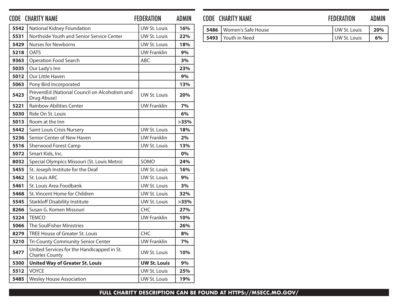|      | <b>CODE CHARITY NAME</b>                                            | <b>FEDERATION</b>   | <b>ADMIN</b> |
|------|---------------------------------------------------------------------|---------------------|--------------|
| 5542 | National Kidney Foundation                                          | <b>UW St. Louis</b> | 16%          |
| 5531 | Northside Youth and Senior Service Center                           | UW St. Louis        | 22%          |
| 5429 | <b>Nurses for Newborns</b>                                          | UW St. Louis        | 18%          |
| 5218 | <b>OATS</b>                                                         | <b>UW Franklin</b>  | $9\%$        |
| 9363 | <b>Operation Food Search</b>                                        | ABC                 | 3%           |
| 5035 | Our Lady's Inn                                                      |                     | 23%          |
| 5012 | Our Little Haven                                                    |                     | 9%           |
| 5063 | Pony Bird Incorporated                                              |                     | 13%          |
| 5423 | PreventEd (National Council on Alcoholism and<br>Drug Abuse)        | UW St. Louis        | 20%          |
| 5221 | <b>Rainbow Abilities Center</b>                                     | <b>UW Franklin</b>  | 7%           |
| 5030 | Ride On St. Louis                                                   |                     | 6%           |
| 5013 | Room at the Inn                                                     |                     | >35%         |
| 5442 | Saint Louis Crisis Nursery                                          | <b>UW St. Louis</b> | 18%          |
| 5236 | Senior Center of New Haven                                          | <b>UW Franklin</b>  | 2%           |
| 5516 | Sherwood Forest Camp                                                | UW St. Louis        | 13%          |
| 5072 | Smart Kids, Inc.                                                    |                     | 0%           |
| 8032 | Special Olympics Missouri (St. Louis Metro)                         | SOMO                | 24%          |
| 5455 | St. Joseph Institute for the Deaf                                   | <b>UW St. Louis</b> | 16%          |
| 5462 | St. Louis ARC                                                       | <b>UW St. Louis</b> | 9%           |
| 5461 | St. Louis Area Foodbank                                             | UW St. Louis        | 3%           |
| 5468 | St. Vincent Home for Children                                       | UW St. Louis        | 32%          |
| 5545 | <b>Starkloff Disability Institute</b>                               | <b>UW St. Louis</b> | >35%         |
| 8266 | Susan G. Komen Missouri                                             | <b>CHC</b>          | 27%          |
| 5224 | <b>TEMCO</b>                                                        | <b>UW Franklin</b>  | 10%          |
| 5066 | The SoulFisher Ministries                                           |                     | 26%          |
| 8279 | <b>TREE House of Greater St. Louis</b>                              | <b>CHC</b>          | 8%           |
| 5210 | Tri-County Community Senior Center                                  | <b>UW Franklin</b>  | 7%           |
| 5477 | United Services for the Handicapped in St.<br><b>Charles County</b> | UW St. Louis        | 10%          |
| 5300 | <b>United Way of Greater St. Louis</b>                              | <b>UW St. Louis</b> | 9%           |
| 5512 | <b>VOYCE</b>                                                        | UW St. Louis        | 25%          |
| 5485 | <b>Wesley House Association</b>                                     | UW St. Louis        | 19%          |

### CODE CHARITY NAME **FEDERATION** ADMIN

| <b>5486</b>   Women's Safe House | UW St. Louis | 20% |
|----------------------------------|--------------|-----|
| 5493   Youth in Need             | UW St. Louis | 6%  |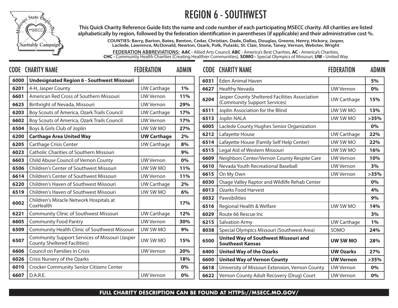### REGION 6 - SOUTHWEST



**This Quick Charity Reference Guide lists the name and code number of each participating MSECC charity. All charities are listed alphabetically by region, followed by the federation identification in parentheses (if applicable) and their administrative cost %.**

**COUNTIES: Barry, Barton, Bates, Benton, Cedar, Christian, Dade, Dallas, Douglas, Greene, Henry, Hickory, Jasper, Laclede, Lawrence, McDonald, Newton, Ozark, Polk, Pulaski, St. Clair, Stone, Taney, Vernon, Webster, Wright**

**FEDERATION ABBREVIATIONS: AAC -** Allied Arts Council, **ABC** - America's Best Charities, **AC -** America's Charities, **CHC -** Community Health Charities (Creating Healthier Communities), **SOMO -** Special Olympics of Missouri, **UW -** United Way

|      | <b>CODE CHARITY NAME</b>                                                              | <b>FEDERATION</b>  | <b>ADMIN</b> |      | <b>CODE CHARITY NAME</b>                                               | <b>FEDERATION</b>  | <b>ADMIN</b> |
|------|---------------------------------------------------------------------------------------|--------------------|--------------|------|------------------------------------------------------------------------|--------------------|--------------|
| 6000 | <b>Undesignated Region 6 - Southwest Missouri</b>                                     |                    |              | 6031 | <b>Eden Animal Haven</b>                                               |                    | 5%           |
| 6201 | 4-H, Jasper County                                                                    | <b>UW Carthage</b> | 1%           | 6627 | <b>Healthy Nevada</b>                                                  | <b>UW Vernon</b>   | 0%           |
| 6601 | American Red Cross of Southern Missouri                                               | <b>UW Vernon</b>   | <b>11%</b>   | 6204 | Jasper County Sheltered Facilities Association                         | <b>UW Carthage</b> | 15%          |
| 6625 | Birthright of Nevada, Missouri                                                        | <b>UW Vernon</b>   | 29%          |      | (Community Support Services)                                           |                    |              |
| 6203 | Boy Scouts of America, Ozark Trails Council                                           | <b>UW Carthage</b> | 17%          | 6511 | Joplin Association for the Blind                                       | UW SW MO           | 13%          |
| 6602 | Boy Scouts of America, Ozark Trails Council                                           | <b>UW Vernon</b>   | 17%          | 6513 | Joplin NALA                                                            | UW SW MO           | >35%         |
| 6504 | Boys & Girls Club of Joplin                                                           | UW SW MO           | 27%          | 6005 | Laclede County Hughes Senior Organization                              |                    | 0%           |
| 6200 | <b>Carthage Area United Way</b>                                                       | <b>UW Carthage</b> | 2%           | 6212 | Lafayette House                                                        | <b>UW Carthage</b> | 22%          |
| 6205 | <b>Carthage Crisis Center</b>                                                         | <b>UW Carthage</b> | 8%           | 6514 | Lafayette House (Family Self Help Center)                              | UW SW MO           | 22%          |
| 6023 | <b>Catholic Charities of Southern Missouri</b>                                        |                    | 9%           | 6515 | Legal Aid of Western Missouri                                          | UW SW MO           | 16%          |
| 6603 | Child Abuse Council of Vernon County                                                  | <b>UW Vernon</b>   | 0%           | 6609 | Neighbors Center/Vernon County Respite Care                            | <b>UW Vernon</b>   | 10%          |
| 6506 | <b>Children's Center of Southwest Missouri</b>                                        | UW SW MO           | 11%          | 6610 | Nevada Youth Recreational Baseball                                     | <b>UW Vernon</b>   | 3%           |
| 6614 | <b>Children's Center of Southwest Missouri</b>                                        | <b>UW Vernon</b>   | 11%          | 6615 | On My Own                                                              | <b>UW Vernon</b>   | >35%         |
| 6220 | Children's Haven of Southwest Missouri                                                | <b>UW Carthage</b> | 2%           | 6030 | Osage Valley Raptor and Wildlife Rehab Center                          |                    | 0%           |
| 6519 | Children's Haven of Southwest Missouri                                                | UW SW MO           | 6%           | 6013 | <b>Ozarks Food Harvest</b>                                             |                    | 4%           |
|      | Children's Miracle Network Hospitals at                                               |                    |              | 6032 | Pawsibilities                                                          |                    | 9%           |
| 6002 | CoxHealth                                                                             |                    | 17%          | 6516 | Regional Health & Welfare                                              | UW SW MO           | 14%          |
| 6221 | <b>Community Clinic of Southwest Missouri</b>                                         | <b>UW Carthage</b> | 12%          | 6029 | Route 66 Rescue Inc                                                    |                    | 3%           |
| 6605 | <b>Community Food Pantry</b>                                                          | <b>UW Vernon</b>   | 30%          | 6215 | <b>Salvation Army</b>                                                  | <b>UW Carthage</b> | 1%           |
| 6509 | Community Health Clinic of Southwest Missouri                                         | UW SW MO           | 9%           | 8038 | Special Olympics Missouri (Southwest Area)                             | SOMO               | 24%          |
| 6507 | Community Support Services of Missouri (Jasper<br><b>County Sheltered Facilities)</b> | UW SW MO           | 15%          | 6500 | <b>United Way of Southwest Missouri and</b><br><b>Southeast Kansas</b> | UW SW MO           | 28%          |
| 6606 | Council on Families in Crisis                                                         | <b>UW Vernon</b>   | 20%          | 6400 | <b>United Way of the Ozarks</b>                                        | <b>UW Ozarks</b>   | 27%          |
| 6026 | Crisis Nursery of the Ozarks                                                          |                    | 18%          | 6600 | <b>United Way of Vernon County</b>                                     | <b>UW Vernon</b>   | >35%         |
| 6010 | <b>Crocker Community Senior Citizens Center</b>                                       |                    | 0%           | 6618 | University of Missouri Extension, Vernon County                        | <b>UW Vernon</b>   | 0%           |
| 6607 | D.A.R.E.                                                                              | <b>UW Vernon</b>   | 0%           | 6622 | Vernon County Adult Recovery (Drug) Court                              | <b>UW Vernon</b>   | 0%           |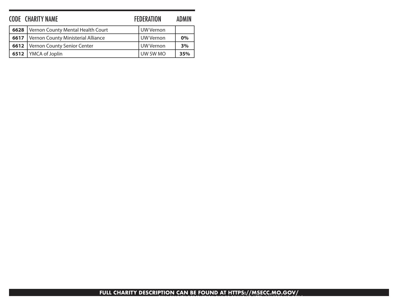| <b>CODE CHARITY NAME</b> |                                    | <b>FEDERATION</b> | <b>ADMIN</b> |
|--------------------------|------------------------------------|-------------------|--------------|
| 6628                     | Vernon County Mental Health Court  | UW Vernon         |              |
| 6617                     | Vernon County Ministerial Alliance | UW Vernon         | 0%           |
| 6612                     | Vernon County Senior Center        | UW Vernon         | 3%           |
| 6512                     | YMCA of Joplin                     | UW SW MO          | 35%          |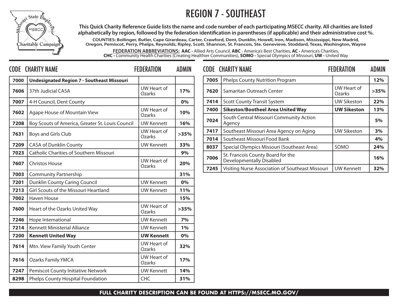



**This Quick Charity Reference Guide lists the name and code number of each participating MSECC charity. All charities are listed alphabetically by region, followed by the federation identification in parentheses (if applicable) and their administrative cost %.**

**COUNTIES: Bollinger, Butler, Cape Girardeau, Carter, Crawford, Dent, Dunklin, Howell, Iron, Madison, Mississippi, New Madrid, Oregon, Pemiscot, Perry, Phelps, Reynolds, Ripley, Scott, Shannon, St. Francois, Ste. Genevieve, Stoddard, Texas, Washington, Wayne**

**FEDERATION ABBREVIATIONS: AAC -** Allied Arts Council, **ABC** - America's Best Charities, **AC -** America's Charities, **CHC -** Community Health Charities (Creating Healthier Communities), **SOMO -** Special Olympics of Missouri, **UW -** United Way

|      | <b>CODE CHARITY NAME</b>                          | <b>FEDERATION</b>            | <b>ADMIN</b> |      | <b>CODE CHARITY NAME</b>                                                            | <b>FEDERATION</b>            | <b>ADMIN</b> |
|------|---------------------------------------------------|------------------------------|--------------|------|-------------------------------------------------------------------------------------|------------------------------|--------------|
| 7000 | <b>Undesignated Region 7 - Southeast Missouri</b> |                              |              | 7005 | Phelps County Nutrition Program                                                     |                              | 12%          |
| 7606 | 37th Judicial CASA                                | UW Heart of<br>Ozarks        | 17%          | 7620 | Samaritan Outreach Center                                                           | UW Heart of<br><b>Ozarks</b> | >35%         |
| 7007 | 4-H Council, Dent County                          |                              | 0%           | 7414 | <b>Scott County Transit System</b>                                                  | <b>UW Sikeston</b>           | 22%          |
| 7602 | Agape House of Mountain View                      | UW Heart of<br>Ozarks        | 10%          | 7400 | <b>Sikeston/Bootheel Area United Way</b><br>South Central Missouri Community Action | <b>UW Sikeston</b>           | 13%          |
| 7208 | Boy Scouts of America, Greater St. Louis Council  | <b>UW Kennett</b>            | 16%          | 7024 | Agency                                                                              |                              | 5%           |
| 7631 | Boys and Girls Club                               | UW Heart of                  | >35%         | 7417 | Southeast Missouri Area Agency on Aging                                             | <b>UW Sikeston</b>           | 3%           |
|      |                                                   | Ozarks                       |              | 7014 | Southeast Missouri Food Bank                                                        |                              | 4%           |
| 7209 | <b>CASA of Dunklin County</b>                     | <b>UW Kennett</b>            | 33%          | 8037 | Special Olympics Missouri (Southeast Area)                                          | SOMO                         | 24%          |
| 7023 | <b>Catholic Charities of Southern Missouri</b>    |                              | 9%           | 7006 | St. Francois County Board for the                                                   |                              | 16%          |
| 7607 | <b>Christos House</b>                             | UW Heart of<br>Ozarks        | 20%          | 7245 | <b>Developmentally Disabled</b><br>Visiting Nurse Association of Southeast Missouri | <b>UW Kennett</b>            | 32%          |
| 7003 | <b>Community Partnership</b>                      |                              | 31%          |      |                                                                                     |                              |              |
| 7201 | Dunklin County Caring Council                     | <b>UW Kennett</b>            | 0%           |      |                                                                                     |                              |              |
| 7213 | Girl Scouts of the Missouri Heartland             | <b>UW Kennett</b>            | 11%          |      |                                                                                     |                              |              |
| 7002 | <b>Haven House</b>                                |                              | 15%          |      |                                                                                     |                              |              |
| 7600 | Heart of the Ozarks United Way                    | <b>UW Heart of</b><br>Ozarks | >35%         |      |                                                                                     |                              |              |
| 7246 | Hope International                                | <b>UW Kennett</b>            | 7%           |      |                                                                                     |                              |              |
| 7214 | Kennett Ministerial Alliance                      | <b>UW Kennett</b>            | 1%           |      |                                                                                     |                              |              |
| 7200 | <b>Kennett United Way</b>                         | <b>UW Kennett</b>            | 0%           |      |                                                                                     |                              |              |
| 7614 | Mtn. View Family Youth Center                     | <b>UW Heart of</b><br>Ozarks | 32%          |      |                                                                                     |                              |              |
| 7616 | <b>Ozarks Family YMCA</b>                         | UW Heart of<br>Ozarks        | 17%          |      |                                                                                     |                              |              |
| 7247 | Pemiscot County Initiative Network                | <b>UW Kennett</b>            | 14%          |      |                                                                                     |                              |              |
| 8298 | Phelps County Hospital Foundation                 | <b>CHC</b>                   | 31%          |      |                                                                                     |                              |              |
|      |                                                   |                              |              |      |                                                                                     |                              |              |

| <b>CODE CHARITY NAME</b> |                                                                      | <b>FEDERATION</b>     | <b>ADMIN</b> |
|--------------------------|----------------------------------------------------------------------|-----------------------|--------------|
| 7005                     | <b>Phelps County Nutrition Program</b>                               |                       | 12%          |
| 7620                     | Samaritan Outreach Center                                            | UW Heart of<br>Ozarks | >35%         |
| 7414                     | <b>Scott County Transit System</b>                                   | <b>UW Sikeston</b>    | 22%          |
| 7400                     | <b>Sikeston/Bootheel Area United Way</b>                             | <b>UW Sikeston</b>    | 13%          |
| 7024                     | South Central Missouri Community Action<br>Agency                    |                       | 5%           |
| 7417                     | Southeast Missouri Area Agency on Aging                              | <b>UW Sikeston</b>    | 3%           |
| 7014                     | Southeast Missouri Food Bank                                         |                       | 4%           |
| 8037                     | Special Olympics Missouri (Southeast Area)                           | SOMO                  | 24%          |
| 7006                     | St. Francois County Board for the<br><b>Developmentally Disabled</b> |                       | 16%          |
| 7245                     | Visiting Nurse Association of Southeast Missouri                     | <b>UW Kennett</b>     | 32%          |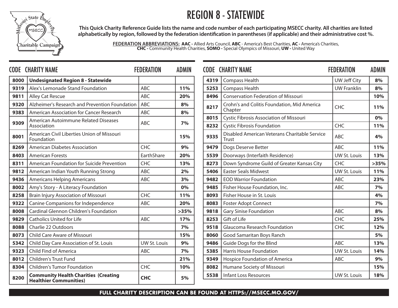### REGION 8 - STATEWIDE



**This Quick Charity Reference Guide lists the name and code number of each participating MSECC charity. All charities are listed alphabetically by region, followed by the federation identification in parentheses (if applicable) and their administrative cost %.**

> **FEDERATION ABBREVIATIONS: AAC -** Allied Arts Council, **ABC** - America's Best Charities, **AC -** America's Charities, **CHC -** Community Health Charities, **SOMO -** Special Olympics of Missouri, **UW -** United Way

|      | <b>CODE CHARITY NAME</b>                                                     | <b>FEDERATION</b> | <b>ADMIN</b> |              | <b>CODE CHARITY NAME</b>                                                     | <b>FEDERATION</b>   | <b>ADMIN</b> |
|------|------------------------------------------------------------------------------|-------------------|--------------|--------------|------------------------------------------------------------------------------|---------------------|--------------|
| 8000 | <b>Undesignated Region 8 - Statewide</b>                                     |                   |              | 4319         | Compass Health                                                               | <b>UW Jeff City</b> | 8%           |
| 9319 | Alex's Lemonade Stand Foundation                                             | ABC               | 11%          | 5253         | <b>Compass Health</b>                                                        | <b>UW Franklin</b>  | 8%           |
| 9811 | <b>Alley Cat Rescue</b>                                                      | ABC               | 20%          | 8496         | <b>Conservation Federation of Missouri</b>                                   |                     | 10%          |
| 9320 | Alzheimer's Research and Prevention Foundation                               | ABC               | 8%           | 8217         | Crohn's and Colitis Foundation, Mid America                                  | <b>CHC</b>          | 11%          |
| 9383 | American Association for Cancer Research                                     | ABC               | 8%           |              | Chapter                                                                      |                     |              |
| 9309 | American Autoimmune Related Diseases<br>Association                          | <b>ABC</b>        | 7%           | 8015<br>8232 | Cystic Fibrosis Association of Missouri<br><b>Cystic Fibrosis Foundation</b> | <b>CHC</b>          | 0%<br>11%    |
| 8001 | American Civil Liberties Union of Missouri<br>Foundation                     |                   | 15%          | 9335         | Disabled American Veterans Charitable Service<br>Trust                       | <b>ABC</b>          | 4%           |
| 8269 | <b>American Diabetes Association</b>                                         | <b>CHC</b>        | 9%           | 9479         | Dogs Deserve Better                                                          | ABC                 | 11%          |
| 8403 | <b>American Forests</b>                                                      | EarthShare        | 20%          | 5539         | Doorways (Interfaith Residence)                                              | UW St. Louis        | 13%          |
| 8311 | American Foundation for Suicide Prevention                                   | <b>CHC</b>        | 13%          | 8273         | Down Syndrome Guild of Greater Kansas City                                   | <b>CHC</b>          | >35%         |
| 9812 | American Indian Youth Running Strong                                         | ABC               | 2%           | 5406         | <b>Easter Seals Midwest</b>                                                  | UW St. Louis        | 11%          |
| 9436 | <b>Americans Helping Americans</b>                                           | ABC               | 3%           | 9482         | <b>EOD Warrior Foundation</b>                                                | <b>ABC</b>          | 23%          |
| 8002 | Amy's Story - A Literacy Foundation                                          |                   | 0%           | 9485         | Fisher House Foundation, Inc.                                                | ABC                 | 7%           |
| 8258 | <b>Brain Injury Association of Missouri</b>                                  | <b>CHC</b>        | 11%          | 8093         | Fisher House in St. Louis                                                    |                     | 4%           |
| 9322 | Canine Companions for Independence                                           | ABC               | 20%          | 8083         | <b>Foster Adopt Connect</b>                                                  |                     | 7%           |
| 8008 | <b>Cardinal Glennon Children's Foundation</b>                                |                   | >35%         | 9818         | <b>Gary Sinise Foundation</b>                                                | <b>ABC</b>          | 8%           |
| 9829 | <b>Catholics United for Life</b>                                             | <b>ABC</b>        | 17%          | 8253         | Gift of Life                                                                 | CHC                 | 25%          |
| 8088 | Charlie 22 Outdoors                                                          |                   | 7%           | 9518         | <b>Glaucoma Research Foundation</b>                                          | <b>CHC</b>          | 12%          |
| 8073 | <b>Child Care Aware of Missouri</b>                                          |                   | 15%          | 8060         | Good Samaritan Boys Ranch                                                    |                     | 5%           |
| 5342 | Child Day Care Association of St. Louis                                      | UW St. Louis      | 9%           | 9486         | Guide Dogs for the Blind                                                     | <b>ABC</b>          | 13%          |
| 9323 | Child Find of America                                                        | ABC               | 7%           | 5385         | <b>Harris House Foundation</b>                                               | UW St. Louis        | 14%          |
| 8012 | <b>Children's Trust Fund</b>                                                 |                   | 21%          | 9349         | Hospice Foundation of America                                                | <b>ABC</b>          | 9%           |
| 8304 | <b>Children's Tumor Foundation</b>                                           | <b>CHC</b>        | 10%          | 8082         | Humane Society of Missouri                                                   |                     | 15%          |
| 8200 | <b>Community Health Charities (Creating</b><br><b>Healthier Communities)</b> | <b>CHC</b>        | 5%           | 5538         | <b>Infant Loss Resources</b>                                                 | UW St. Louis        | 18%          |

|      | <b>CODE CHARITY NAME</b>                                      | <b>FEDERATION</b>   | <b>ADMIN</b> |
|------|---------------------------------------------------------------|---------------------|--------------|
| 4319 | Compass Health                                                | UW Jeff City        | 8%           |
| 5253 | Compass Health                                                | <b>UW Franklin</b>  | 8%           |
| 8496 | <b>Conservation Federation of Missouri</b>                    |                     | 10%          |
| 8217 | Crohn's and Colitis Foundation, Mid America<br>Chapter        | <b>CHC</b>          | 11%          |
| 8015 | Cystic Fibrosis Association of Missouri                       |                     | 0%           |
| 8232 | <b>Cystic Fibrosis Foundation</b>                             | <b>CHC</b>          | 11%          |
| 9335 | Disabled American Veterans Charitable Service<br><b>Trust</b> | <b>ABC</b>          | 4%           |
| 9479 | Dogs Deserve Better                                           | ABC                 | 11%          |
| 5539 | Doorways (Interfaith Residence)                               | <b>UW St. Louis</b> | 13%          |
| 8273 | Down Syndrome Guild of Greater Kansas City                    | <b>CHC</b>          | >35%         |
| 5406 | <b>Easter Seals Midwest</b>                                   | <b>UW St. Louis</b> | 11%          |
| 9482 | <b>EOD Warrior Foundation</b>                                 | <b>ABC</b>          | 23%          |
| 9485 | Fisher House Foundation, Inc.                                 | <b>ABC</b>          | 7%           |
| 8093 | Fisher House in St. Louis                                     |                     | 4%           |
| 8083 | <b>Foster Adopt Connect</b>                                   |                     | 7%           |
| 9818 | <b>Gary Sinise Foundation</b>                                 | <b>ABC</b>          | 8%           |
| 8253 | <b>Gift of Life</b>                                           | <b>CHC</b>          | 25%          |
| 9518 | <b>Glaucoma Research Foundation</b>                           | <b>CHC</b>          | 12%          |
| 8060 | Good Samaritan Boys Ranch                                     |                     | 5%           |
| 9486 | Guide Dogs for the Blind                                      | <b>ABC</b>          | 13%          |
| 5385 | <b>Harris House Foundation</b>                                | <b>UW St. Louis</b> | 14%          |
| 9349 | Hospice Foundation of America                                 | ABC                 | 9%           |
| 8082 | Humane Society of Missouri                                    |                     | 15%          |
| 5538 | <b>Infant Loss Resources</b>                                  | <b>UW St. Louis</b> | 18%          |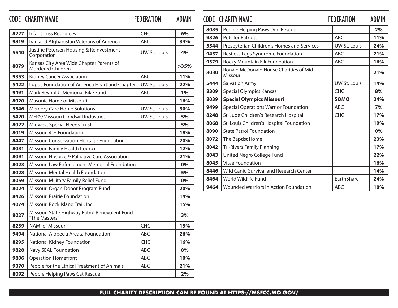### CODE CHARITY NAME FEDERATION ADMIN CODE CHARITY NAME FEDERATION ADMIN

| 8227 | <b>Infant Loss Resources</b>                                   | <b>CHC</b>          | 6%    |
|------|----------------------------------------------------------------|---------------------|-------|
| 9819 | Iraq and Afghanistan Veterans of America                       | ABC                 | 34%   |
| 5540 | Justine Petersen Housing & Reinvestment<br>Corporation         | UW St. Louis        | 4%    |
| 8079 | Kansas City Area Wide Chapter Parents of<br>Murdered Children  |                     | >35%  |
| 9353 | <b>Kidney Cancer Association</b>                               | <b>ABC</b>          | 11%   |
| 5422 | Lupus Foundation of America Heartland Chapter                  | <b>UW St. Louis</b> | 22%   |
| 9491 | Mark Reynolds Memorial Bike Fund                               | ABC                 | $1\%$ |
| 8020 | Masonic Home of Missouri                                       |                     | 16%   |
| 5546 | <b>Memory Care Home Solutions</b>                              | <b>UW St. Louis</b> | 30%   |
| 5420 | MERS/Missouri Goodwill Industries                              | UW St. Louis        | 5%    |
| 8022 | <b>Midwest Special Needs Trust</b>                             |                     | 5%    |
| 8019 | Missouri 4-H Foundation                                        |                     | 18%   |
| 8447 | Missouri Conservation Heritage Foundation                      |                     | 20%   |
| 8081 | Missouri Family Health Council                                 |                     | 12%   |
| 8091 | Missouri Hospice & Palliative Care Association                 |                     | 21%   |
| 8023 | Missouri Law Enforcement Memorial Foundation                   |                     | 0%    |
| 8028 | Missouri Mental Health Foundation                              |                     | 5%    |
| 8059 | Missouri Military Family Relief Fund                           |                     | 0%    |
| 8024 | Missouri Organ Donor Program Fund                              |                     | 20%   |
| 8426 | <b>Missouri Prairie Foundation</b>                             |                     | 14%   |
| 4074 | Missouri Rock Island Trail, Inc.                               |                     | 15%   |
| 8027 | Missouri State Highway Patrol Benevolent Fund<br>"The Masters" |                     | 3%    |
| 8239 | <b>NAMI of Missouri</b>                                        | <b>CHC</b>          | 15%   |
| 9494 | National Alopecia Areata Foundation                            | <b>ABC</b>          | 26%   |
| 8295 | National Kidney Foundation                                     | <b>CHC</b>          | 16%   |
| 9828 | Navy SEAL Foundation                                           | ABC                 | 8%    |
| 9806 | <b>Operation Homefront</b>                                     | <b>ABC</b>          | 10%   |
| 9370 | People for the Ethical Treatment of Animals                    | <b>ABC</b>          | 21%   |
| 8092 | People Helping Paws Cat Rescue                                 |                     | 2%    |

|      | <b>CODE CHARITY NAME</b>                                   | <b>FEDERATION</b> | <b>ADMIN</b> |
|------|------------------------------------------------------------|-------------------|--------------|
| 8085 | People Helping Paws Dog Rescue                             |                   | 2%           |
| 9826 | Pets for Patriots                                          | <b>ABC</b>        | 11%          |
| 5544 | Presbyterian Children's Homes and Services                 | UW St. Louis      | 24%          |
| 9457 | Restless Legs Syndrome Foundation                          | <b>ABC</b>        | 21%          |
| 9379 | Rocky Mountain Elk Foundation                              | <b>ABC</b>        | 16%          |
| 8030 | <b>Ronald McDonald House Charities of Mid-</b><br>Missouri |                   | 21%          |
| 5444 | <b>Salvation Army</b>                                      | UW St. Louis      | 14%          |
| 8309 | <b>Special Olympics Kansas</b>                             | <b>CHC</b>        | 8%           |
| 8039 | <b>Special Olympics Missouri</b>                           | <b>SOMO</b>       | 24%          |
| 9499 | <b>Special Operations Warrior Foundation</b>               | <b>ABC</b>        | 7%           |
| 8248 | St. Jude Children's Research Hospital                      | <b>CHC</b>        | 17%          |
| 8068 | St. Louis Children's Hospital Foundation                   |                   | 19%          |
| 8090 | <b>State Patrol Foundation</b>                             |                   | 0%           |
| 8072 | The Baptist Home                                           |                   | 23%          |
| 8042 | <b>Tri-Rivers Family Planning</b>                          |                   | 17%          |
| 8043 | United Negro College Fund                                  |                   | 22%          |
| 8045 | <b>Vitae Foundation</b>                                    |                   | 16%          |
| 8446 | Wild Canid Survival and Research Center                    |                   | 14%          |
| 8464 | World Wildlife Fund                                        | EarthShare        | 24%          |
| 9464 | Wounded Warriors in Action Foundation                      | <b>ABC</b>        | 10%          |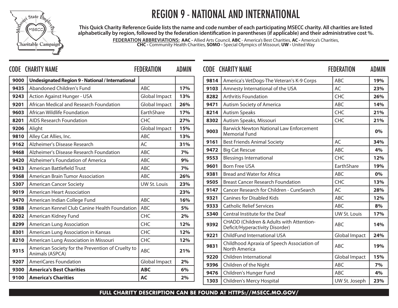

## REGION 9 - NATIONAL AND INTERNATIONAL

**This Quick Charity Reference Guide lists the name and code number of each participating MSECC charity. All charities are listed alphabetically by region, followed by the federation identification in parentheses (if applicable) and their administrative cost %.**

> **FEDERATION ABBREVIATIONS: AAC -** Allied Arts Council, **ABC** - America's Best Charities, **AC -** America's Charities, **CHC -** Community Health Charities, **SOMO -** Special Olympics of Missouri, **UW -** United Way

|              | <b>CODE CHARITY NAME</b>                                                | <b>FEDERATION</b>   | <b>ADMIN</b> |      | <b>CODE CHARITY NAME</b>                                                    | <b>FEDERATION</b>    | <b>ADMIN</b> |
|--------------|-------------------------------------------------------------------------|---------------------|--------------|------|-----------------------------------------------------------------------------|----------------------|--------------|
| 9000         | <b>Undesignated Region 9 - National / International</b>                 |                     |              | 9814 | America's VetDogs-The Veteran's K-9 Corps                                   | ABC                  | 19%          |
| 9435         | Abandoned Children's Fund                                               | <b>ABC</b>          | 17%          | 9103 | Amnesty International of the USA                                            | AC                   | 23%          |
| 9243         | <b>Action Against Hunger - USA</b>                                      | Global Impact       | 13%          | 8282 | <b>Arthritis Foundation</b>                                                 | CHC                  | 26%          |
| 9201         | African Medical and Research Foundation                                 | Global Impact       | 26%          | 9471 | <b>Autism Society of America</b>                                            | ABC                  | 14%          |
| 9603         | African Wildlife Foundation                                             | EarthShare          | 17%          | 8214 | <b>Autism Speaks</b>                                                        | CHC                  | 21%          |
| 8201         | <b>AIDS Research Foundation</b>                                         | <b>CHC</b>          | 27%          | 8302 | Autism Speaks, Missouri                                                     | CHC                  | 21%          |
| 9206         | Alight                                                                  | Global Impact       | 15%          | 9003 | <b>Barwick Newton National Law Enforcement</b><br><b>Memorial Fund</b>      |                      | 0%           |
| 9810         | Alley Cat Allies, Inc.                                                  | <b>ABC</b><br>AC    | 13%          | 9161 | <b>Best Friends Animal Society</b>                                          | AC                   | 34%          |
| 9162<br>9468 | Alzheimer's Disease Research<br>Alzheimer's Disease Research Foundation | ABC                 | 31%<br>7%    | 9472 | <b>Big Cat Rescue</b>                                                       | ABC                  | 4%           |
| 9420         | Alzheimer's Foundation of America                                       | ABC                 | 9%           | 9553 | <b>Blessings International</b>                                              | <b>CHC</b>           | 12%          |
| 9433         | American Battlefield Trust                                              | <b>ABC</b>          | 7%           | 9601 | <b>Born Free USA</b>                                                        | EarthShare           | 19%          |
| 9368         | American Brain Tumor Association                                        | <b>ABC</b>          | 26%          | 9381 | <b>Bread and Water for Africa</b>                                           | <b>ABC</b>           | 0%           |
| 5307         | <b>American Cancer Society</b>                                          | <b>UW St. Louis</b> | 23%          | 9505 | <b>Breast Cancer Research Foundation</b>                                    | CHC                  | 13%          |
| 9019         | <b>American Heart Association</b>                                       |                     | 23%          | 9147 | Cancer Research for Children - CureSearch                                   | AC                   | 28%          |
| 9470         | American Indian College Fund                                            | <b>ABC</b>          | 16%          | 9321 | <b>Canines for Disabled Kids</b>                                            | <b>ABC</b>           | 12%          |
| 9388         | American Kennel Club Canine Health Foundation                           | ABC                 | 5%           | 9333 | <b>Catholic Relief Services</b>                                             | <b>ABC</b>           | 8%           |
| 8202         | American Kidney Fund                                                    | <b>CHC</b>          | 2%           | 5340 | Central Institute for the Deaf                                              | UW St. Louis         | 17%          |
| 8299         | <b>American Lung Association</b>                                        | <b>CHC</b>          | 12%          | 9392 | CHADD (Children & Adults with Attention-<br>Deficit/Hyperactivity Disorder) | <b>ABC</b>           | 14%          |
| 8301         | American Lung Association in Kansas                                     | CHC                 | 12%          | 9221 | ChildFund International USA                                                 | <b>Global Impact</b> | 24%          |
| 8210         | American Lung Association in Missouri                                   | <b>CHC</b>          | 12%          |      | Childhood Apraxia of Speech Association of                                  |                      |              |
| 9315         | American Society for the Prevention of Cruelty to<br>Animals (ASPCA)    | <b>ABC</b>          | 21%          | 9831 | North America                                                               | <b>ABC</b>           | 19%          |
| 9207         | <b>AmeriCares Foundation</b>                                            | Global Impact       | 2%           | 9220 | Children International                                                      | <b>Global Impact</b> | 15%          |
| 9300         | <b>America's Best Charities</b>                                         | <b>ABC</b>          | 6%           | 9396 | Children of the Night                                                       | ABC                  | 7%           |
| 9100         | <b>America's Charities</b>                                              | <b>AC</b>           | 2%           | 9476 | Children's Hunger Fund                                                      | <b>ABC</b>           | 4%           |
|              |                                                                         |                     |              | 1303 | Children's Mercy Hospital                                                   | UW St. Joseph        | 23%          |

|      | <b>CODE CHARITY NAME</b>                                                    | <b>FEDERATION</b>    | <b>ADMIN</b> |
|------|-----------------------------------------------------------------------------|----------------------|--------------|
| 9814 | America's VetDogs-The Veteran's K-9 Corps                                   | <b>ABC</b>           | 19%          |
| 9103 | Amnesty International of the USA                                            | AC                   | 23%          |
| 8282 | <b>Arthritis Foundation</b>                                                 | <b>CHC</b>           | 26%          |
| 9471 | Autism Society of America                                                   | <b>ABC</b>           | 14%          |
| 8214 | <b>Autism Speaks</b>                                                        | <b>CHC</b>           | 21%          |
| 8302 | Autism Speaks, Missouri                                                     | <b>CHC</b>           | 21%          |
| 9003 | <b>Barwick Newton National Law Enforcement</b><br><b>Memorial Fund</b>      |                      | 0%           |
| 9161 | <b>Best Friends Animal Society</b>                                          | AC                   | 34%          |
| 9472 | <b>Big Cat Rescue</b>                                                       | ABC.                 | 4%           |
| 9553 | <b>Blessings International</b>                                              | <b>CHC</b>           | 12%          |
| 9601 | <b>Born Free USA</b>                                                        | EarthShare           | 19%          |
| 9381 | <b>Bread and Water for Africa</b>                                           | ABC.                 | 0%           |
| 9505 | <b>Breast Cancer Research Foundation</b>                                    | <b>CHC</b>           | 13%          |
| 9147 | Cancer Research for Children - CureSearch                                   | <b>AC</b>            | 28%          |
| 9321 | <b>Canines for Disabled Kids</b>                                            | <b>ABC</b>           | 12%          |
| 9333 | <b>Catholic Relief Services</b>                                             | ABC.                 | 8%           |
| 5340 | Central Institute for the Deaf                                              | <b>UW St. Louis</b>  | 17%          |
| 9392 | CHADD (Children & Adults with Attention-<br>Deficit/Hyperactivity Disorder) | ABC.                 | 14%          |
| 9221 | ChildFund International USA                                                 | <b>Global Impact</b> | 24%          |
| 9831 | Childhood Apraxia of Speech Association of<br>North America                 | ABC                  | 19%          |
| 9220 | Children International                                                      | <b>Global Impact</b> | 15%          |
| 9396 | Children of the Night                                                       | ABC.                 | 7%           |
| 9476 | Children's Hunger Fund                                                      | <b>ABC</b>           | 4%           |
| 1303 | Children's Mercy Hospital                                                   | UW St. Joseph        | 23%          |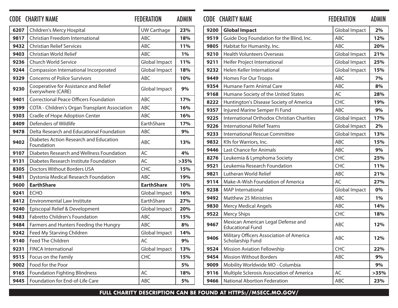|      | <b>CODE CHARITY NAME</b>                                   | <b>FEDERATION</b>    | <b>ADMIN</b> |              | <b>CODE CHARITY NAME</b>                                        | <b>FEDERATION</b>           | <b>ADMIN</b> |
|------|------------------------------------------------------------|----------------------|--------------|--------------|-----------------------------------------------------------------|-----------------------------|--------------|
| 6207 | Children's Mercy Hospital                                  | <b>UW Carthage</b>   | 23%          | 9200         | <b>Global Impact</b>                                            | <b>Global Impact</b>        | 2%           |
| 9817 | Christian Freedom International                            | ABC                  | 18%          | 9519         | Guide Dog Foundation for the Blind, Inc.                        | ABC                         | 12%          |
| 9432 | <b>Christian Relief Services</b>                           | ABC                  | 11%          | 9805         | Habitat for Humanity, Inc.                                      | <b>ABC</b>                  | 20%          |
| 9403 | Christian World Relief                                     | ABC                  | 1%           | 9210         | <b>Health Volunteers Overseas</b>                               | <b>Global Impact</b>        | 21%          |
| 9236 | Church World Service                                       | <b>Global Impact</b> | 11%          | 9211         | Heifer Project International                                    | <b>Global Impact</b>        | 25%          |
| 9244 | Compassion International Incorporated                      | <b>Global Impact</b> | 18%          | 9232         | Helen Keller International                                      | <b>Global Impact</b>        | 15%          |
| 9329 | <b>Concerns of Police Survivors</b>                        | ABC                  | 10%          | 9449         | Homes For Our Troops                                            | ABC                         | 7%           |
| 9230 | Cooperative for Assistance and Relief<br>Everywhere (CARE) | Global Impact        | 9%           | 9354         | Humane Farm Animal Care                                         | ABC                         | 8%           |
| 9401 | <b>Correctional Peace Officers Foundation</b>              | ABC                  | 17%          | 9168         | Humane Society of the United States                             | AC                          | 28%          |
| 9399 | COTA - Children's Organ Transplant Association             | ABC                  | 16%          | 8222         | Huntington's Disease Society of America                         | CHC                         | 19%          |
| 9303 | Cradle of Hope Adoption Center                             | ABC                  | 16%          | 9357         | Injured Marine Semper Fi Fund                                   | ABC                         | 9%           |
| 8409 | Defenders of Wildlife                                      | EarthShare           | 17%          | 9225         | International Orthodox Christian Charities                      | <b>Global Impact</b>        | 17%          |
| 9478 | Delta Research and Educational Foundation                  | ABC                  | 9%           | 9226         | <b>International Relief Teams</b>                               | Global Impact               | 2%           |
| 9402 | Diabetes Action Research and Education<br>Foundation       | ABC                  | 13%          | 9233<br>9832 | <b>International Rescue Committee</b><br>K9s for Warriors, Inc. | <b>Global Impact</b><br>ABC | 13%<br>15%   |
| 9107 | Diabetes Research and Wellness Foundation                  | AC                   | 4%           | 9446         | <b>Last Chance for Animals</b>                                  | ABC                         | 9%           |
| 9131 | Diabetes Research Institute Foundation                     | AC                   | >35%         | 8276         | Leukemia & Lymphoma Society                                     | CHC                         | 25%          |
| 8305 | <b>Doctors Without Borders USA</b>                         | <b>CHC</b>           | 15%          | 9521         | Leukemia Research Foundation                                    | <b>CHC</b>                  | 11%          |
| 9481 | Dystonia Medical Research Foundation                       | ABC                  | 19%          | 9821         | Lutheran World Relief                                           | ABC                         | 21%          |
| 9600 | <b>EarthShare</b>                                          | <b>EarthShare</b>    | 10%          | 9114         | Make-A-Wish Foundation of America                               | AC                          | 27%          |
| 9241 | <b>ECHO</b>                                                | Global Impact        | 16%          | 9238         | <b>MAP</b> International                                        | <b>Global Impact</b>        | 0%           |
| 8412 | <b>Environmental Law Institute</b>                         | EarthShare           | 27%          | 9492         | <b>Matthew 25 Ministries</b>                                    | ABC                         | 1%           |
| 9240 | Episcopal Relief & Development                             | Global Impact        | 20%          | 9830         | <b>Mercy Medical Angels</b>                                     | ABC                         | 14%          |
| 9483 | Fabretto Children's Foundation                             | ABC                  | 15%          | 9522         | <b>Mercy Ships</b>                                              | CHC                         | 18%          |
| 9484 | Farmers and Hunters Feeding the Hungry                     | ABC                  | 8%           | 9467         | Mexican American Legal Defense and<br><b>Educational Fund</b>   | ABC                         | 12%          |
| 9242 | Feed My Starving Children                                  | Global Impact        | 14%          |              | Military Officers Association of America                        |                             |              |
| 9140 | Feed The Children                                          | AC                   | 9%           | 9406         | Scholarship Fund                                                | ABC                         | 12%          |
| 9231 | <b>FINCA International</b>                                 | Global Impact        | 13%          | 9524         | Mission Aviation Fellowship                                     | <b>CHC</b>                  | 22%          |
| 9515 | Focus on the Family                                        | <b>CHC</b>           | 15%          | 9454         | <b>Mission Without Borders</b>                                  | ABC                         | 9%           |
| 9002 | Food for the Poor                                          |                      | 5%           | 9009         | Mobility Worldwide MO - Columbia                                |                             | 9%           |
| 9165 | <b>Foundation Fighting Blindness</b>                       | AC                   | 18%          | 9116         | Multiple Sclerosis Association of America                       | AC                          | >35%         |
| 9445 | Foundation for End-of-Life Care                            | ABC                  | 5%           | 9466         | National Abortion Federation                                    | ABC                         | 23%          |

### **Global Impact** Global Impact **2%** Guide Dog Foundation for the Blind, Inc. ABC 12% **9805** Habitat for Humanity, Inc.  $\begin{array}{|c|c|c|c|c|c|}\n\hline\n & ABC & 20\% \\
\hline\n\end{array}$  Health Volunteers Overseas Global Impact 21% Heifer Project International Global Impact 25% | Helen Keller International **15%** | Global Impact | 15% Homes For Our Troops ABC **ABC** 7% Humane Farm Animal Care ABC **8%**  Humane Society of the United States **AC 128%**  Huntington's Disease Society of America CHC **19%**  Injured Marine Semper Fi Fund **ABC 9%**  International Orthodox Christian Charities Global Impact 17% International Relief Teams Global Impact 2% International Rescue Committee Global Impact 13% **9832** K9s for Warriors, Inc.  $ABC = 15\%$  Last Chance for Animals ABC **ABC 9%**  Leukemia & Lymphoma Society **CHC 25%**  Leukemia Research Foundation **CHC 11%**  Lutheran World Relief Absolution ABC 21% Make-A-Wish Foundation of America AC **ACC 27%**  MAP International Global Impact **0%** Matthew 25 Ministries **ABC** 1% Mercy Medical Angels **14%** ABC **14%**  Mercy Ships **CHC 18%**  Mexican American Legal Defense and Educational Fund ABC **12%** Military Officers Association of America Military Officers Association of America<br>Scholarship Fund **12%**  Mission Aviation Fellowship CHC 22% Mission Without Borders ABC **19%**  Mobility Worldwide MO - Columbia **9% 9116** | Multiple Sclerosis Association of America  $\vert$  AC  $\vert$  >35% National Abortion Federation **ABC** 23%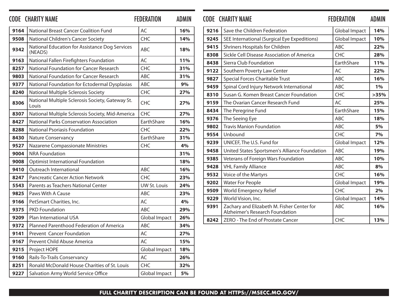|      | <b>CODE CHARITY NAME</b>                                  | <b>FEDERATION</b>    | <b>ADMIN</b> |      | <b>CODE CHARITY NAME</b>                                                      | <b>FEDERATION</b>    | <b>ADMIN</b> |
|------|-----------------------------------------------------------|----------------------|--------------|------|-------------------------------------------------------------------------------|----------------------|--------------|
| 9164 | <b>National Breast Cancer Coalition Fund</b>              | AC                   | 16%          | 9216 | Save the Children Federation                                                  | Global Impact        | 14%          |
| 9508 | National Children's Cancer Society                        | CHC                  | 14%          | 9245 | SEE International (Surgical Eye Expeditions)                                  | <b>Global Impact</b> | 10%          |
| 9342 | National Education for Assistance Dog Services            | ABC                  | 18%          | 9415 | Shriners Hospitals for Children                                               | ABC                  | 22%          |
|      | (NEADS)                                                   |                      |              | 8308 | Sickle Cell Disease Association of America                                    | <b>CHC</b>           | 28%          |
| 9163 | National Fallen Firefighters Foundation                   | AC                   | 11%          | 8438 | Sierra Club Foundation                                                        | EarthShare           | 11%          |
| 8257 | National Foundation for Cancer Research                   | <b>CHC</b>           | 31%          | 9122 | Southern Poverty Law Center                                                   | AC                   | 22%          |
| 9803 | National Foundation for Cancer Research                   | ABC                  | 31%          | 9827 | Special Forces Charitable Trust                                               | ABC                  | 16%          |
| 9377 | National Foundation for Ectodermal Dysplasias             | ABC                  | 9%           | 9459 | Spinal Cord Injury Network International                                      | ABC                  | 1%           |
| 8240 | National Multiple Sclerosis Society                       | CHC                  | 27%          | 8310 | Susan G. Komen Breast Cancer Foundation                                       | CHC                  | >35%         |
| 8306 | National Multiple Sclerosis Society, Gateway St.<br>Louis | <b>CHC</b>           | 27%          | 9159 | The Ovarian Cancer Research Fund                                              | AC                   | 25%          |
| 8307 | National Multiple Sclerosis Society, Mid-America          | CHC                  | 27%          | 8434 | The Peregrine Fund                                                            | EarthShare           | 15%          |
| 8427 | <b>National Parks Conservation Association</b>            | EarthShare           | 16%          | 9376 | The Seeing Eye                                                                | ABC                  | 18%          |
| 8288 | <b>National Psoriasis Foundation</b>                      | CHC                  | 22%          | 9802 | <b>Travis Manion Foundation</b>                                               | ABC                  | 5%           |
| 8430 | <b>Nature Conservancy</b>                                 | EarthShare           | 31%          | 9554 | Unbound                                                                       | <b>CHC</b>           | 7%           |
| 9527 | Nazarene Compassionate Ministries                         | CHC                  | 4%           | 9239 | UNICEF, The U.S. Fund for                                                     | <b>Global Impact</b> | 12%          |
| 9004 | <b>NRA Foundation</b>                                     |                      | 31%          | 9458 | United States Sportsmen's Alliance Foundation                                 | ABC                  | 19%          |
| 9008 | <b>Optimist International Foundation</b>                  |                      | 18%          | 9385 | Veterans of Foreign Wars Foundation                                           | <b>ABC</b>           | 10%          |
| 9410 | Outreach International                                    | ABC                  | 16%          | 9428 | <b>VHL Family Alliance</b>                                                    | ABC                  | 8%           |
| 8247 | <b>Pancreatic Cancer Action Network</b>                   | CHC                  | 23%          | 9532 | Voice of the Martyrs                                                          | <b>CHC</b>           | 16%          |
| 5543 | Parents as Teachers National Center                       | <b>UW St. Louis</b>  | 24%          | 9202 | <b>Water For People</b>                                                       | <b>Global Impact</b> | 19%          |
| 9825 | Paws With A Cause                                         | ABC                  | 23%          | 9509 | World Emergency Relief                                                        | <b>CHC</b>           | 2%           |
| 9166 | PetSmart Charities, Inc.                                  | AC                   | 4%           | 9229 | World Vision, Inc.                                                            | <b>Global Impact</b> | 14%          |
| 9375 | <b>PKD Foundation</b>                                     | ABC                  | 29%          | 9391 | Zachary and Elizabeth M. Fisher Center for<br>Alzheimer's Research Foundation | <b>ABC</b>           | 16%          |
| 9209 | Plan International USA                                    | <b>Global Impact</b> | 26%          | 8242 | ZERO - The End of Prostate Cancer                                             | CHC                  | 13%          |
| 9372 | Planned Parenthood Federation of America                  | ABC                  | 34%          |      |                                                                               |                      |              |
| 9141 | <b>Prevent Cancer Foundation</b>                          | AC                   | 27%          |      |                                                                               |                      |              |
| 9167 | Prevent Child Abuse America                               | AC                   | 15%          |      |                                                                               |                      |              |
| 9215 | Project HOPE                                              | <b>Global Impact</b> | 18%          |      |                                                                               |                      |              |
| 9160 | Rails-To-Trails Conservancy                               | AC                   | 26%          |      |                                                                               |                      |              |
| 8251 | Ronald McDonald House Charities of St. Louis              | <b>CHC</b>           | 32%          |      |                                                                               |                      |              |
| 9227 | Salvation Army World Service Office                       | Global Impact        | 5%           |      |                                                                               |                      |              |

| 9216 | Save the Children Federation                                                  | <b>Global Impact</b> | 14%  |
|------|-------------------------------------------------------------------------------|----------------------|------|
| 9245 | SEE International (Surgical Eye Expeditions)                                  | <b>Global Impact</b> | 10%  |
| 9415 | <b>Shriners Hospitals for Children</b>                                        | <b>ABC</b>           | 22%  |
| 8308 | Sickle Cell Disease Association of America                                    | <b>CHC</b>           | 28%  |
| 8438 | Sierra Club Foundation                                                        | EarthShare           | 11%  |
| 9122 | Southern Poverty Law Center                                                   | AC                   | 22%  |
| 9827 | Special Forces Charitable Trust                                               | <b>ABC</b>           | 16%  |
| 9459 | Spinal Cord Injury Network International                                      | <b>ABC</b>           | 1%   |
| 8310 | Susan G. Komen Breast Cancer Foundation                                       | <b>CHC</b>           | >35% |
| 9159 | The Ovarian Cancer Research Fund                                              | AC                   | 25%  |
| 8434 | The Peregrine Fund                                                            | EarthShare           | 15%  |
| 9376 | The Seeing Eye                                                                | <b>ABC</b>           | 18%  |
| 9802 | <b>Travis Manion Foundation</b>                                               | <b>ABC</b>           | 5%   |
| 9554 | Unbound                                                                       | <b>CHC</b>           | 7%   |
| 9239 | UNICEF, The U.S. Fund for                                                     | <b>Global Impact</b> | 12%  |
| 9458 | United States Sportsmen's Alliance Foundation                                 | <b>ABC</b>           | 19%  |
| 9385 | Veterans of Foreign Wars Foundation                                           | <b>ABC</b>           | 10%  |
| 9428 | <b>VHL Family Alliance</b>                                                    | <b>ABC</b>           | 8%   |
| 9532 | Voice of the Martyrs                                                          | <b>CHC</b>           | 16%  |
| 9202 | <b>Water For People</b>                                                       | <b>Global Impact</b> | 19%  |
| 9509 | World Emergency Relief                                                        | CHC                  | 2%   |
| 9229 | World Vision, Inc.                                                            | <b>Global Impact</b> | 14%  |
| 9391 | Zachary and Elizabeth M. Fisher Center for<br>Alzheimer's Research Foundation | <b>ABC</b>           | 16%  |
| 8242 | ZERO - The End of Prostate Cancer                                             | <b>CHC</b>           | 13%  |